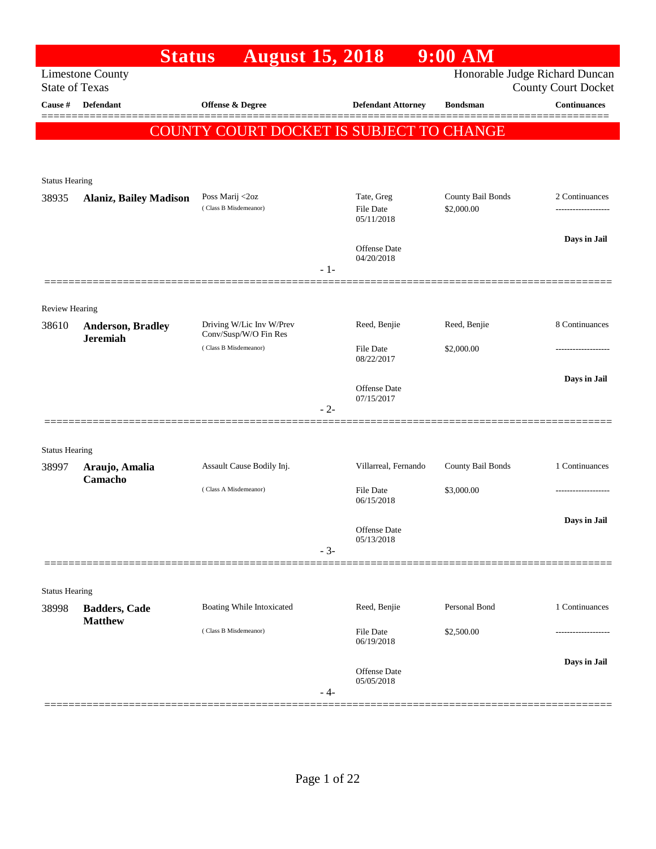|                       | <b>Status</b>                 | <b>August 15, 2018</b>                            |       |                                | $9:00$ AM                       |                                                              |
|-----------------------|-------------------------------|---------------------------------------------------|-------|--------------------------------|---------------------------------|--------------------------------------------------------------|
| <b>State of Texas</b> | <b>Limestone County</b>       |                                                   |       |                                |                                 | Honorable Judge Richard Duncan<br><b>County Court Docket</b> |
| Cause #               | <b>Defendant</b>              | <b>Offense &amp; Degree</b>                       |       | <b>Defendant Attorney</b>      | <b>Bondsman</b>                 | <b>Continuances</b>                                          |
|                       |                               | COUNTY COURT DOCKET IS SUBJECT TO CHANGE          |       |                                |                                 |                                                              |
|                       |                               |                                                   |       |                                |                                 |                                                              |
|                       |                               |                                                   |       |                                |                                 |                                                              |
| <b>Status Hearing</b> |                               |                                                   |       |                                |                                 |                                                              |
| 38935                 | <b>Alaniz, Bailey Madison</b> | Poss Marij <2oz<br>(Class B Misdemeanor)          |       | Tate, Greg<br><b>File Date</b> | County Bail Bonds<br>\$2,000.00 | 2 Continuances                                               |
|                       |                               |                                                   |       | 05/11/2018                     |                                 |                                                              |
|                       |                               |                                                   |       | <b>Offense Date</b>            |                                 | Days in Jail                                                 |
|                       |                               |                                                   | $-1-$ | 04/20/2018                     |                                 |                                                              |
|                       |                               |                                                   |       |                                |                                 |                                                              |
| <b>Review Hearing</b> |                               |                                                   |       |                                |                                 |                                                              |
| 38610                 | <b>Anderson, Bradley</b>      | Driving W/Lic Inv W/Prev<br>Conv/Susp/W/O Fin Res |       | Reed, Benjie                   | Reed, Benjie                    | 8 Continuances                                               |
|                       | <b>Jeremiah</b>               | (Class B Misdemeanor)                             |       | <b>File Date</b><br>08/22/2017 | \$2,000.00                      |                                                              |
|                       |                               |                                                   |       |                                |                                 |                                                              |
|                       |                               |                                                   |       | Offense Date                   |                                 | Days in Jail                                                 |
|                       |                               |                                                   | $-2-$ | 07/15/2017                     |                                 |                                                              |
|                       |                               |                                                   |       |                                |                                 |                                                              |
| <b>Status Hearing</b> |                               |                                                   |       |                                |                                 |                                                              |
| 38997                 | Araujo, Amalia<br>Camacho     | Assault Cause Bodily Inj.                         |       | Villarreal, Fernando           | County Bail Bonds               | 1 Continuances                                               |
|                       |                               | (Class A Misdemeanor)                             |       | <b>File Date</b>               | \$3,000.00                      |                                                              |
|                       |                               |                                                   |       | 06/15/2018                     |                                 |                                                              |
|                       |                               |                                                   |       | Offense Date<br>05/13/2018     |                                 | Days in Jail                                                 |
|                       |                               |                                                   | $-3-$ |                                |                                 |                                                              |
|                       |                               |                                                   |       |                                |                                 |                                                              |
| <b>Status Hearing</b> |                               |                                                   |       |                                |                                 |                                                              |
| 38998                 | <b>Badders, Cade</b>          | Boating While Intoxicated                         |       | Reed, Benjie                   | Personal Bond                   | 1 Continuances                                               |
|                       | <b>Matthew</b>                | (Class B Misdemeanor)                             |       | File Date                      | \$2,500.00                      |                                                              |
|                       |                               |                                                   |       | 06/19/2018                     |                                 |                                                              |
|                       |                               |                                                   |       | Offense Date                   |                                 | Days in Jail                                                 |
|                       |                               |                                                   | - 4-  | 05/05/2018                     |                                 |                                                              |
|                       |                               |                                                   |       |                                |                                 |                                                              |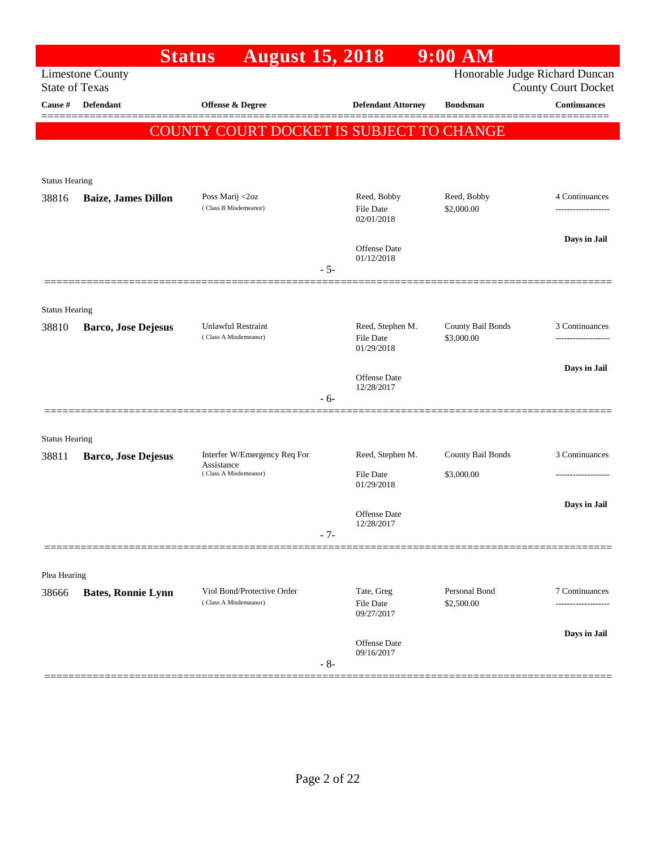|                       |                            | <b>August 15, 2018</b><br><b>Status</b>             |                                             | $9:00$ AM                       |                                                              |
|-----------------------|----------------------------|-----------------------------------------------------|---------------------------------------------|---------------------------------|--------------------------------------------------------------|
| <b>State of Texas</b> | <b>Limestone County</b>    |                                                     |                                             |                                 | Honorable Judge Richard Duncan<br><b>County Court Docket</b> |
| Cause #               | <b>Defendant</b>           | Offense & Degree                                    | <b>Defendant Attorney</b>                   | <b>Bondsman</b>                 | <b>Continuances</b><br>======                                |
|                       |                            | <b>COUNTY COURT DOCKET IS SUBJECT TO CHANGE</b>     |                                             |                                 |                                                              |
|                       |                            |                                                     |                                             |                                 |                                                              |
| <b>Status Hearing</b> |                            |                                                     |                                             |                                 |                                                              |
| 38816                 | <b>Baize, James Dillon</b> | Poss Marij <2oz<br>(Class B Misdemeanor)            | Reed, Bobby<br>File Date<br>02/01/2018      | Reed, Bobby<br>\$2,000.00       | 4 Continuances                                               |
|                       |                            |                                                     | Offense Date<br>01/12/2018                  |                                 | Days in Jail                                                 |
|                       |                            |                                                     | $-5-$                                       |                                 |                                                              |
| <b>Status Hearing</b> |                            |                                                     |                                             |                                 |                                                              |
| 38810                 | <b>Barco, Jose Dejesus</b> | Unlawful Restraint<br>(Class A Misdemeanor)         | Reed, Stephen M.<br>File Date<br>01/29/2018 | County Bail Bonds<br>\$3,000.00 | 3 Continuances                                               |
|                       |                            |                                                     | <b>Offense</b> Date                         |                                 | Days in Jail                                                 |
|                       |                            |                                                     | 12/28/2017<br>- 6-                          |                                 |                                                              |
| <b>Status Hearing</b> |                            |                                                     |                                             |                                 |                                                              |
| 38811                 | <b>Barco, Jose Dejesus</b> | Interfer W/Emergency Req For<br>Assistance          | Reed, Stephen M.                            | County Bail Bonds               | 3 Continuances                                               |
|                       |                            | (Class A Misdemeanor)                               | <b>File Date</b><br>01/29/2018              | \$3,000.00                      |                                                              |
|                       |                            |                                                     | Offense Date<br>12/28/2017                  |                                 | Days in Jail                                                 |
|                       |                            |                                                     | $-7-$                                       |                                 |                                                              |
| Plea Hearing          |                            |                                                     |                                             |                                 |                                                              |
| 38666                 | <b>Bates, Ronnie Lynn</b>  | Viol Bond/Protective Order<br>(Class A Misdemeanor) | Tate, Greg<br>File Date<br>09/27/2017       | Personal Bond<br>\$2,500.00     | 7 Continuances<br>.                                          |
|                       |                            |                                                     | Offense Date<br>09/16/2017                  |                                 | Days in Jail                                                 |
|                       |                            |                                                     | $-8-$                                       |                                 |                                                              |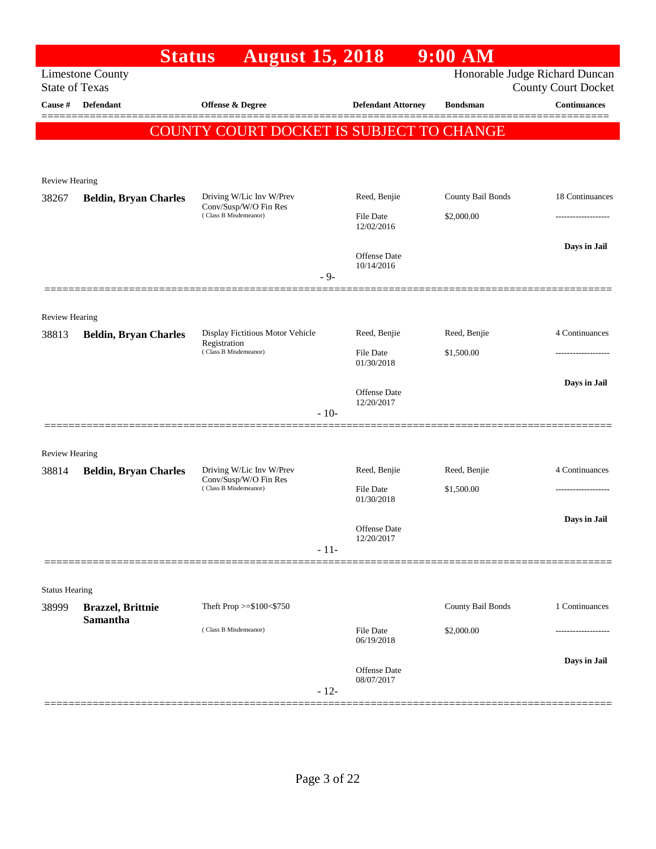|                       |                                                  | <b>August 15, 2018</b><br><b>Status</b>           |                                   | 9:00 AM           |                                                              |
|-----------------------|--------------------------------------------------|---------------------------------------------------|-----------------------------------|-------------------|--------------------------------------------------------------|
|                       | <b>Limestone County</b><br><b>State of Texas</b> |                                                   |                                   |                   | Honorable Judge Richard Duncan<br><b>County Court Docket</b> |
| Cause #               | <b>Defendant</b>                                 | Offense & Degree                                  | <b>Defendant Attorney</b>         | <b>Bondsman</b>   | <b>Continuances</b>                                          |
|                       |                                                  |                                                   |                                   |                   |                                                              |
|                       |                                                  | COUNTY COURT DOCKET IS SUBJECT TO CHANGE          |                                   |                   |                                                              |
|                       |                                                  |                                                   |                                   |                   |                                                              |
| Review Hearing        |                                                  |                                                   |                                   |                   |                                                              |
| 38267                 | <b>Beldin, Bryan Charles</b>                     | Driving W/Lic Inv W/Prev<br>Conv/Susp/W/O Fin Res | Reed, Benjie                      | County Bail Bonds | 18 Continuances                                              |
|                       |                                                  | (Class B Misdemeanor)                             | <b>File Date</b><br>12/02/2016    | \$2,000.00        | ------------------                                           |
|                       |                                                  |                                                   | <b>Offense Date</b>               |                   | Days in Jail                                                 |
|                       |                                                  | $-9-$                                             | 10/14/2016                        |                   |                                                              |
|                       |                                                  |                                                   |                                   |                   |                                                              |
| Review Hearing        |                                                  |                                                   |                                   |                   |                                                              |
| 38813                 | <b>Beldin, Bryan Charles</b>                     | Display Fictitious Motor Vehicle<br>Registration  | Reed, Benjie                      | Reed, Benjie      | 4 Continuances                                               |
|                       |                                                  | (Class B Misdemeanor)                             | File Date<br>01/30/2018           | \$1,500.00        |                                                              |
|                       |                                                  |                                                   | <b>Offense Date</b>               |                   | Days in Jail                                                 |
|                       |                                                  | $-10-$                                            | 12/20/2017                        |                   |                                                              |
|                       |                                                  |                                                   |                                   |                   |                                                              |
| <b>Review Hearing</b> |                                                  |                                                   |                                   |                   |                                                              |
| 38814                 | <b>Beldin, Bryan Charles</b>                     | Driving W/Lic Inv W/Prev<br>Conv/Susp/W/O Fin Res | Reed, Benjie                      | Reed, Benjie      | 4 Continuances                                               |
|                       |                                                  | (Class B Misdemeanor)                             | File Date<br>01/30/2018           | \$1,500.00        |                                                              |
|                       |                                                  |                                                   |                                   |                   | Days in Jail                                                 |
|                       |                                                  |                                                   | Offense Date<br>12/20/2017        |                   |                                                              |
|                       |                                                  | $-11-$                                            |                                   |                   |                                                              |
| <b>Status Hearing</b> |                                                  |                                                   |                                   |                   |                                                              |
| 38999                 | <b>Brazzel</b> , Brittnie                        | Theft Prop >=\$100<\$750                          |                                   | County Bail Bonds | 1 Continuances                                               |
|                       | <b>Samantha</b>                                  | (Class B Misdemeanor)                             | <b>File Date</b><br>06/19/2018    | \$2,000.00        | ----------------                                             |
|                       |                                                  |                                                   |                                   |                   | Days in Jail                                                 |
|                       |                                                  | $-12-$                                            | <b>Offense Date</b><br>08/07/2017 |                   |                                                              |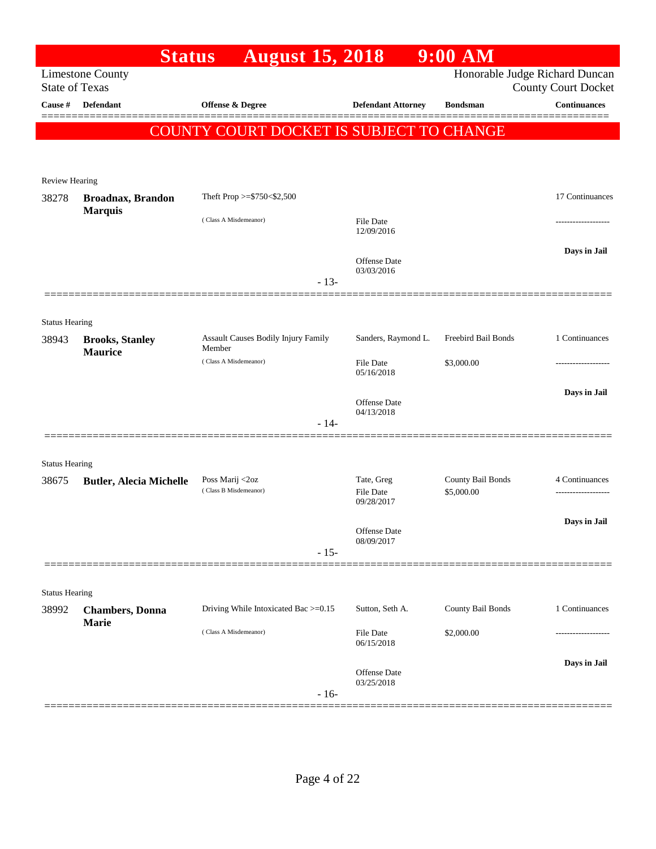|                                  | <b>Status</b>                    | <b>August 15, 2018</b>                          |                                   | $9:00$ AM           |                                            |
|----------------------------------|----------------------------------|-------------------------------------------------|-----------------------------------|---------------------|--------------------------------------------|
|                                  | <b>Limestone County</b>          |                                                 |                                   |                     | Honorable Judge Richard Duncan             |
| <b>State of Texas</b><br>Cause # | <b>Defendant</b>                 | Offense & Degree                                | <b>Defendant Attorney</b>         | <b>Bondsman</b>     | <b>County Court Docket</b><br>Continuances |
|                                  |                                  |                                                 |                                   |                     |                                            |
|                                  |                                  | <b>COUNTY COURT DOCKET IS SUBJECT TO CHANGE</b> |                                   |                     |                                            |
|                                  |                                  |                                                 |                                   |                     |                                            |
| <b>Review Hearing</b>            |                                  |                                                 |                                   |                     |                                            |
| 38278                            | <b>Broadnax, Brandon</b>         | Theft Prop >=\$750<\$2,500                      |                                   |                     | 17 Continuances                            |
|                                  | <b>Marquis</b>                   | (Class A Misdemeanor)                           | <b>File Date</b><br>12/09/2016    |                     |                                            |
|                                  |                                  |                                                 | <b>Offense Date</b>               |                     | Days in Jail                               |
|                                  |                                  | $-13-$                                          | 03/03/2016                        |                     |                                            |
|                                  |                                  |                                                 |                                   |                     |                                            |
| <b>Status Hearing</b>            |                                  |                                                 |                                   |                     |                                            |
| 38943                            | <b>Brooks, Stanley</b>           | Assault Causes Bodily Injury Family<br>Member   | Sanders, Raymond L.               | Freebird Bail Bonds | 1 Continuances                             |
|                                  | <b>Maurice</b>                   | (Class A Misdemeanor)                           | <b>File Date</b><br>05/16/2018    | \$3,000.00          |                                            |
|                                  |                                  |                                                 |                                   |                     | Days in Jail                               |
|                                  |                                  |                                                 | <b>Offense Date</b><br>04/13/2018 |                     |                                            |
|                                  |                                  | $-14-$                                          |                                   |                     |                                            |
|                                  |                                  |                                                 |                                   |                     |                                            |
| <b>Status Hearing</b>            |                                  | Poss Marij <2oz                                 | Tate, Greg                        | County Bail Bonds   | 4 Continuances                             |
| 38675                            | <b>Butler, Alecia Michelle</b>   | (Class B Misdemeanor)                           | <b>File Date</b><br>09/28/2017    | \$5,000.00          | -------------------                        |
|                                  |                                  |                                                 |                                   |                     | Days in Jail                               |
|                                  |                                  |                                                 | Offense Date<br>08/09/2017        |                     |                                            |
|                                  |                                  | $-15-$                                          |                                   |                     |                                            |
|                                  |                                  |                                                 |                                   |                     |                                            |
| <b>Status Hearing</b>            |                                  |                                                 |                                   |                     |                                            |
| 38992                            | <b>Chambers</b> , Donna<br>Marie | Driving While Intoxicated Bac >=0.15            | Sutton, Seth A.                   | County Bail Bonds   | 1 Continuances                             |
|                                  |                                  | (Class A Misdemeanor)                           | File Date<br>06/15/2018           | \$2,000.00          |                                            |
|                                  |                                  |                                                 |                                   |                     | Days in Jail                               |
|                                  |                                  | $-16-$                                          | <b>Offense Date</b><br>03/25/2018 |                     |                                            |
|                                  |                                  |                                                 |                                   |                     |                                            |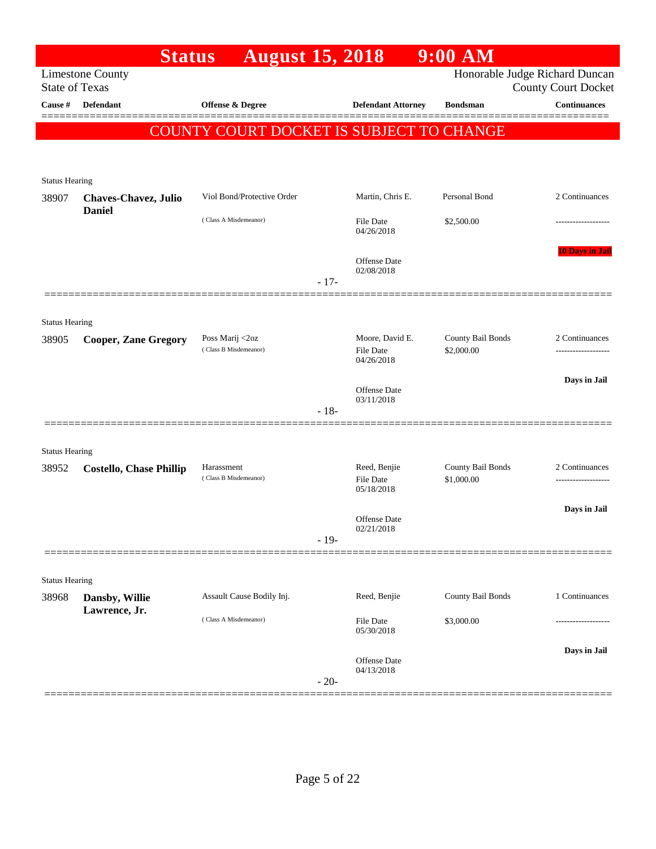|                       | <b>Status</b>                                | <b>August 15, 2018</b>                             |        |                                                   | 9:00 AM                         |                                                              |
|-----------------------|----------------------------------------------|----------------------------------------------------|--------|---------------------------------------------------|---------------------------------|--------------------------------------------------------------|
| <b>State of Texas</b> | <b>Limestone County</b>                      |                                                    |        |                                                   |                                 | Honorable Judge Richard Duncan<br><b>County Court Docket</b> |
| Cause #               | <b>Defendant</b>                             | Offense & Degree                                   |        | <b>Defendant Attorney</b>                         | <b>Bondsman</b>                 | <b>Continuances</b>                                          |
|                       |                                              | <b>COUNTY COURT DOCKET IS SUBJECT TO CHANGE</b>    |        |                                                   |                                 |                                                              |
| <b>Status Hearing</b> |                                              |                                                    |        |                                                   |                                 |                                                              |
| 38907                 | <b>Chaves-Chavez, Julio</b><br><b>Daniel</b> | Viol Bond/Protective Order                         |        | Martin, Chris E.                                  | Personal Bond                   | 2 Continuances                                               |
|                       |                                              | (Class A Misdemeanor)                              |        | <b>File Date</b><br>04/26/2018                    | \$2,500.00                      |                                                              |
|                       |                                              |                                                    | $-17-$ | Offense Date<br>02/08/2018                        |                                 | <b>10 Days in Jail</b>                                       |
| <b>Status Hearing</b> |                                              |                                                    |        |                                                   |                                 |                                                              |
| 38905                 | <b>Cooper, Zane Gregory</b>                  | Poss Marij <2oz<br>(Class B Misdemeanor)           |        | Moore, David E.<br><b>File Date</b><br>04/26/2018 | County Bail Bonds<br>\$2,000.00 | 2 Continuances<br>------------------                         |
|                       |                                              |                                                    | $-18-$ | <b>Offense Date</b><br>03/11/2018                 |                                 | Days in Jail                                                 |
| <b>Status Hearing</b> |                                              |                                                    |        |                                                   |                                 |                                                              |
| 38952                 | <b>Costello, Chase Phillip</b>               | Harassment<br>(Class B Misdemeanor)                |        | Reed, Benjie<br><b>File Date</b><br>05/18/2018    | County Bail Bonds<br>\$1,000.00 | 2 Continuances                                               |
|                       |                                              |                                                    | $-19-$ | <b>Offense Date</b><br>02/21/2018                 |                                 | Days in Jail                                                 |
|                       |                                              |                                                    |        |                                                   |                                 |                                                              |
| <b>Status Hearing</b> |                                              |                                                    |        |                                                   |                                 |                                                              |
| 38968                 | Dansby, Willie<br>Lawrence, Jr.              | Assault Cause Bodily Inj.<br>(Class A Misdemeanor) |        | Reed, Benjie<br>File Date                         | County Bail Bonds<br>\$3,000.00 | 1 Continuances                                               |
|                       |                                              |                                                    | $-20-$ | 05/30/2018<br>Offense Date<br>04/13/2018          |                                 | Days in Jail                                                 |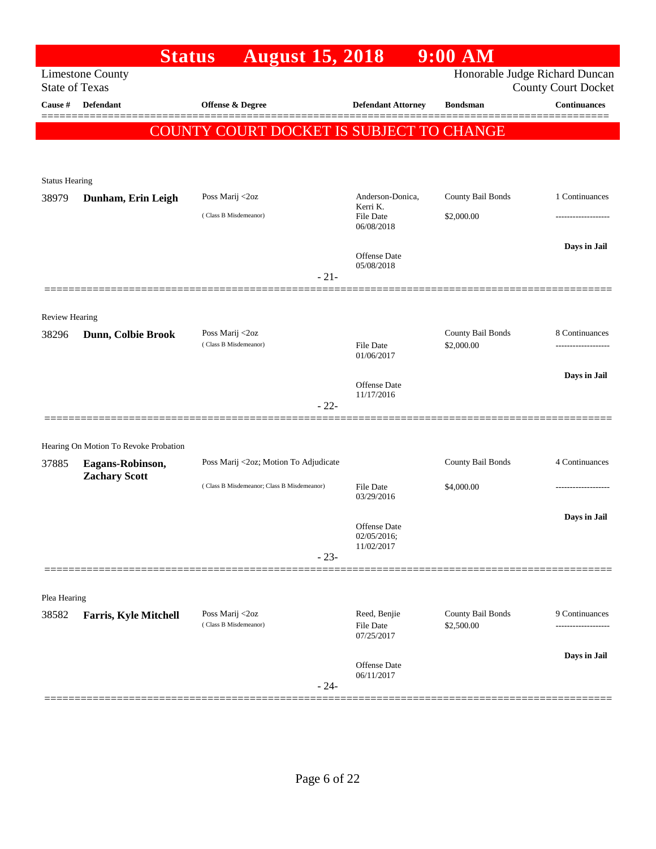|                       | <b>Status</b>                         | <b>August 15, 2018</b>                     |                                   | $9:00$ AM                       |                                                              |
|-----------------------|---------------------------------------|--------------------------------------------|-----------------------------------|---------------------------------|--------------------------------------------------------------|
| <b>State of Texas</b> | <b>Limestone County</b>               |                                            |                                   |                                 | Honorable Judge Richard Duncan<br><b>County Court Docket</b> |
| Cause #               | <b>Defendant</b>                      | <b>Offense &amp; Degree</b>                | <b>Defendant Attorney</b>         | <b>Bondsman</b>                 | Continuances                                                 |
|                       |                                       | COUNTY COURT DOCKET IS SUBJECT TO CHANGE   |                                   |                                 |                                                              |
|                       |                                       |                                            |                                   |                                 |                                                              |
| <b>Status Hearing</b> |                                       |                                            |                                   |                                 |                                                              |
| 38979                 | Dunham, Erin Leigh                    | Poss Marij <2oz                            | Anderson-Donica,<br>Kerri K.      | County Bail Bonds               | 1 Continuances                                               |
|                       |                                       | (Class B Misdemeanor)                      | <b>File Date</b><br>06/08/2018    | \$2,000.00                      |                                                              |
|                       |                                       |                                            | <b>Offense</b> Date<br>05/08/2018 |                                 | Days in Jail                                                 |
|                       |                                       | $-21-$                                     |                                   |                                 |                                                              |
| Review Hearing        |                                       |                                            |                                   |                                 |                                                              |
| 38296                 | Dunn, Colbie Brook                    | Poss Marij <2oz<br>(Class B Misdemeanor)   | File Date<br>01/06/2017           | County Bail Bonds<br>\$2,000.00 | 8 Continuances                                               |
|                       |                                       |                                            |                                   |                                 | Days in Jail                                                 |
|                       |                                       |                                            | Offense Date<br>11/17/2016        |                                 |                                                              |
|                       |                                       | $-22-$                                     |                                   |                                 |                                                              |
|                       | Hearing On Motion To Revoke Probation |                                            |                                   |                                 |                                                              |
| 37885                 | Eagans-Robinson,                      | Poss Marij <2oz; Motion To Adjudicate      |                                   | County Bail Bonds               | 4 Continuances                                               |
|                       | <b>Zachary Scott</b>                  | (Class B Misdemeanor; Class B Misdemeanor) | File Date<br>03/29/2016           | \$4,000.00                      |                                                              |
|                       |                                       |                                            | Offense Date                      |                                 | Days in Jail                                                 |
|                       |                                       |                                            | 02/05/2016;<br>11/02/2017         |                                 |                                                              |
|                       |                                       | $-23-$                                     |                                   |                                 |                                                              |
| Plea Hearing          |                                       |                                            |                                   |                                 |                                                              |
| 38582                 | <b>Farris, Kyle Mitchell</b>          | Poss Marij <2oz<br>(Class B Misdemeanor)   | Reed, Benjie<br>File Date         | County Bail Bonds<br>\$2,500.00 | 9 Continuances                                               |
|                       |                                       |                                            | 07/25/2017                        |                                 |                                                              |
|                       |                                       |                                            | Offense Date                      |                                 | Days in Jail                                                 |
|                       |                                       | $-24-$                                     | 06/11/2017                        |                                 |                                                              |
|                       |                                       |                                            |                                   |                                 |                                                              |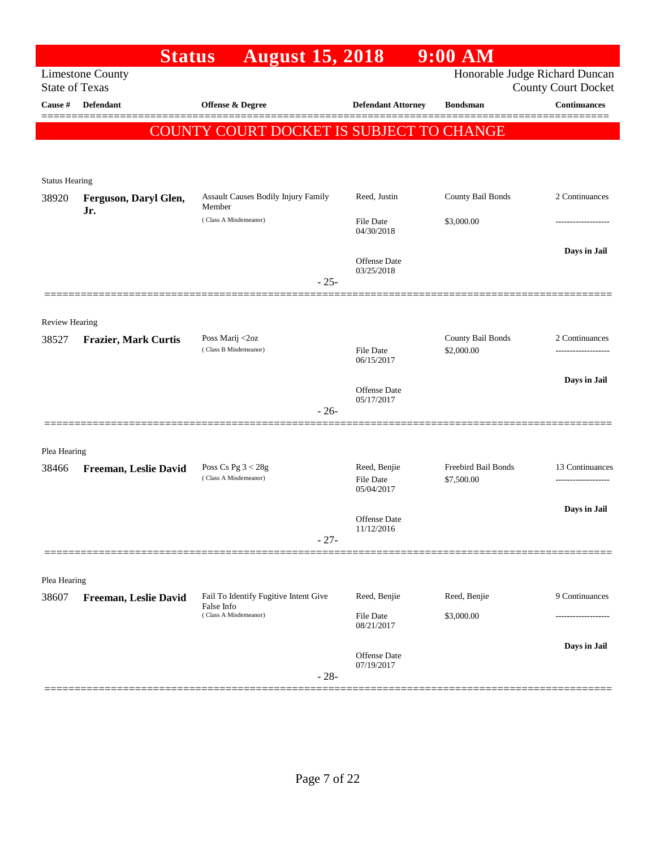|                       | <b>Status</b>                                    | <b>August 15, 2018</b>                              |                                         | 9:00 AM                           |                            |
|-----------------------|--------------------------------------------------|-----------------------------------------------------|-----------------------------------------|-----------------------------------|----------------------------|
|                       | <b>Limestone County</b><br><b>State of Texas</b> |                                                     |                                         | Honorable Judge Richard Duncan    | <b>County Court Docket</b> |
| Cause #               | <b>Defendant</b>                                 | Offense & Degree                                    | <b>Defendant Attorney</b>               | <b>Bondsman</b>                   | <b>Continuances</b>        |
|                       |                                                  | COUNTY COURT DOCKET IS SUBJECT TO CHANGE            |                                         |                                   |                            |
| <b>Status Hearing</b> |                                                  |                                                     |                                         |                                   |                            |
| 38920                 | Ferguson, Daryl Glen,                            | Assault Causes Bodily Injury Family<br>Member       | Reed, Justin                            | County Bail Bonds                 | 2 Continuances             |
|                       | Jr.                                              | (Class A Misdemeanor)                               | File Date<br>04/30/2018                 | \$3,000.00                        | --------------             |
|                       |                                                  | $-25-$                                              | Offense Date<br>03/25/2018              |                                   | Days in Jail               |
|                       |                                                  |                                                     |                                         |                                   |                            |
| <b>Review Hearing</b> |                                                  |                                                     |                                         |                                   |                            |
| 38527                 | <b>Frazier, Mark Curtis</b>                      | Poss Marij <2oz<br>(Class B Misdemeanor)            | <b>File Date</b><br>06/15/2017          | County Bail Bonds<br>\$2,000.00   | 2 Continuances             |
|                       |                                                  |                                                     | Offense Date                            |                                   | Days in Jail               |
|                       | =================                                | $-26-$                                              | 05/17/2017                              |                                   |                            |
| Plea Hearing          |                                                  |                                                     |                                         |                                   |                            |
| 38466                 | Freeman, Leslie David                            | Poss Cs Pg $3 < 28g$<br>(Class A Misdemeanor)       | Reed, Benjie<br>File Date<br>05/04/2017 | Freebird Bail Bonds<br>\$7,500.00 | 13 Continuances            |
|                       |                                                  |                                                     | Offense Date<br>11/12/2016              |                                   | Days in Jail               |
|                       |                                                  | $-27-$                                              |                                         |                                   |                            |
| Plea Hearing          |                                                  |                                                     |                                         |                                   |                            |
| 38607                 | Freeman, Leslie David                            | Fail To Identify Fugitive Intent Give<br>False Info | Reed, Benjie                            | Reed, Benjie                      | 9 Continuances             |
|                       |                                                  | (Class A Misdemeanor)                               | File Date<br>08/21/2017                 | \$3,000.00                        |                            |
|                       |                                                  | $-28-$                                              | Offense Date<br>07/19/2017              |                                   | Days in Jail               |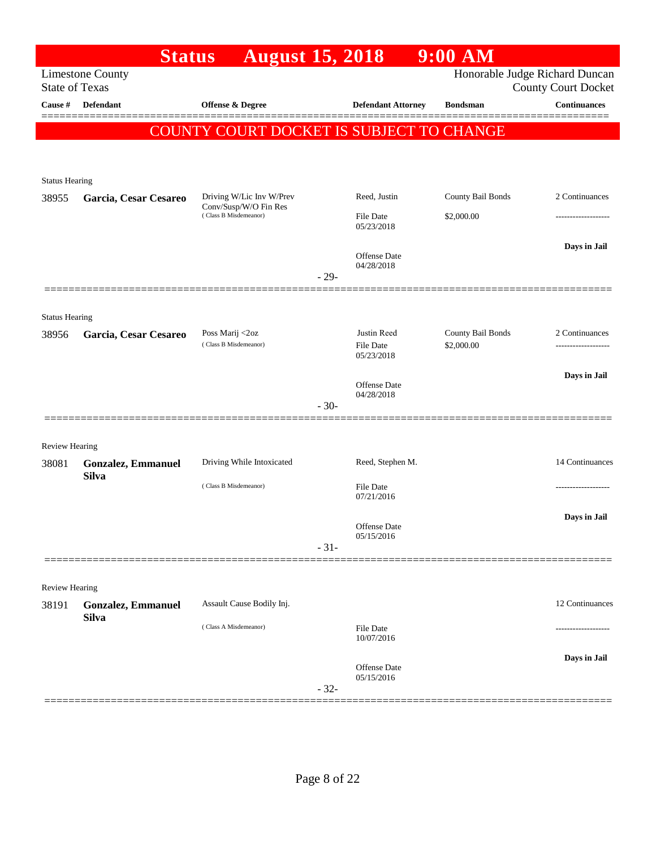|                                | <b>Status</b>             | <b>August 15, 2018</b>                         |            |                                | $9:00$ AM                      |                            |
|--------------------------------|---------------------------|------------------------------------------------|------------|--------------------------------|--------------------------------|----------------------------|
| <b>State of Texas</b>          | <b>Limestone County</b>   |                                                |            |                                | Honorable Judge Richard Duncan | <b>County Court Docket</b> |
| Cause #                        | <b>Defendant</b>          | Offense & Degree                               |            | <b>Defendant Attorney</b>      | <b>Bondsman</b>                | <b>Continuances</b>        |
|                                |                           | COUNTY COURT DOCKET IS SUBJECT TO CHANGE       |            |                                |                                |                            |
|                                |                           |                                                |            |                                |                                |                            |
|                                |                           |                                                |            |                                |                                |                            |
| <b>Status Hearing</b><br>38955 | Garcia, Cesar Cesareo     | Driving W/Lic Inv W/Prev                       |            | Reed, Justin                   | County Bail Bonds              | 2 Continuances             |
|                                |                           | Conv/Susp/W/O Fin Res<br>(Class B Misdemeanor) |            | File Date                      | \$2,000.00                     | .                          |
|                                |                           |                                                | 05/23/2018 |                                |                                |                            |
|                                |                           |                                                |            | <b>Offense Date</b>            |                                | Days in Jail               |
|                                |                           |                                                | $-29-$     | 04/28/2018                     |                                |                            |
|                                |                           |                                                |            |                                |                                |                            |
| <b>Status Hearing</b>          |                           |                                                |            |                                |                                |                            |
| 38956                          | Garcia, Cesar Cesareo     | Poss Marij <2oz                                |            | Justin Reed                    | County Bail Bonds              | 2 Continuances             |
|                                |                           | (Class B Misdemeanor)                          |            | <b>File Date</b><br>05/23/2018 | \$2,000.00                     |                            |
|                                |                           |                                                |            | Offense Date                   |                                | Days in Jail               |
|                                |                           |                                                |            | 04/28/2018                     |                                |                            |
|                                |                           |                                                | $-30-$     |                                |                                |                            |
| <b>Review Hearing</b>          |                           |                                                |            |                                |                                |                            |
| 38081                          | <b>Gonzalez, Emmanuel</b> | Driving While Intoxicated                      |            | Reed, Stephen M.               |                                | 14 Continuances            |
|                                | <b>Silva</b>              | (Class B Misdemeanor)                          |            | File Date                      |                                |                            |
|                                |                           |                                                |            | 07/21/2016                     |                                |                            |
|                                |                           |                                                |            | Offense Date                   |                                | Days in Jail               |
|                                |                           |                                                | $-31-$     | 05/15/2016                     |                                |                            |
|                                |                           |                                                |            |                                |                                |                            |
| Review Hearing                 |                           |                                                |            |                                |                                |                            |
| 38191                          | <b>Gonzalez, Emmanuel</b> | Assault Cause Bodily Inj.                      |            |                                |                                | 12 Continuances            |
|                                | <b>Silva</b>              | (Class A Misdemeanor)                          |            | File Date                      |                                |                            |
|                                |                           |                                                |            | 10/07/2016                     |                                |                            |
|                                |                           |                                                |            | Offense Date<br>05/15/2016     |                                | Days in Jail               |
|                                |                           |                                                | $-32-$     |                                |                                |                            |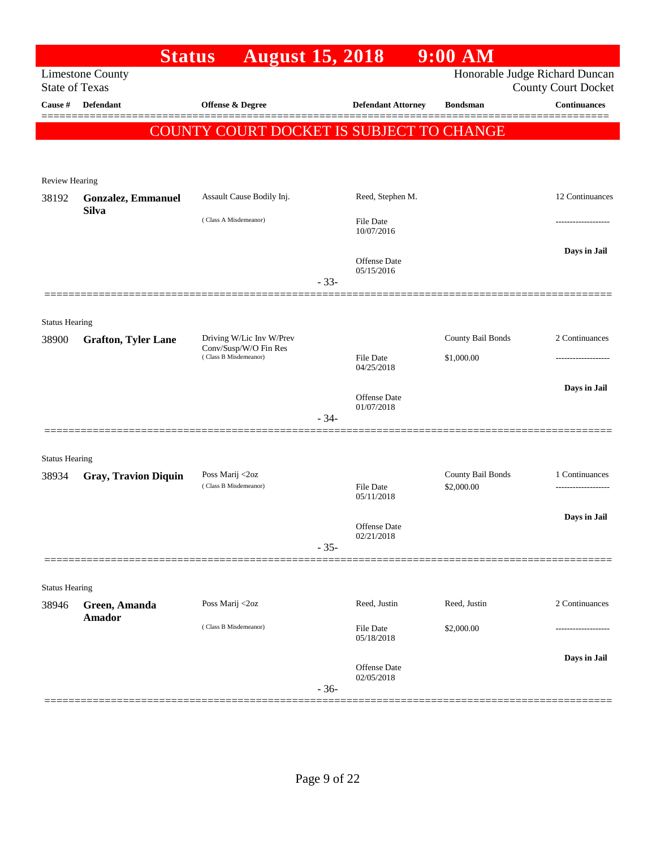|                       | <b>Status</b>                             | <b>August 15, 2018</b>                                                     |        |                                   | $9:00$ AM                       |                                                              |
|-----------------------|-------------------------------------------|----------------------------------------------------------------------------|--------|-----------------------------------|---------------------------------|--------------------------------------------------------------|
| <b>State of Texas</b> | <b>Limestone County</b>                   |                                                                            |        |                                   |                                 | Honorable Judge Richard Duncan<br><b>County Court Docket</b> |
| Cause #               | <b>Defendant</b>                          | Offense & Degree                                                           |        | <b>Defendant Attorney</b>         | <b>Bondsman</b>                 | <b>Continuances</b>                                          |
|                       |                                           | COUNTY COURT DOCKET IS SUBJECT TO CHANGE                                   |        |                                   |                                 |                                                              |
|                       |                                           |                                                                            |        |                                   |                                 |                                                              |
| Review Hearing        |                                           |                                                                            |        |                                   |                                 |                                                              |
| 38192                 | <b>Gonzalez, Emmanuel</b><br><b>Silva</b> | Assault Cause Bodily Inj.                                                  |        | Reed, Stephen M.                  |                                 | 12 Continuances                                              |
|                       |                                           | (Class A Misdemeanor)                                                      |        | <b>File Date</b><br>10/07/2016    |                                 | ------------------                                           |
|                       |                                           |                                                                            | $-33-$ | <b>Offense Date</b><br>05/15/2016 |                                 | Days in Jail                                                 |
|                       |                                           |                                                                            |        |                                   |                                 |                                                              |
| <b>Status Hearing</b> |                                           |                                                                            |        |                                   |                                 |                                                              |
| 38900                 | <b>Grafton, Tyler Lane</b>                | Driving W/Lic Inv W/Prev<br>Conv/Susp/W/O Fin Res<br>(Class B Misdemeanor) |        |                                   | County Bail Bonds               | 2 Continuances                                               |
|                       |                                           |                                                                            |        | <b>File Date</b><br>04/25/2018    | \$1,000.00                      | .                                                            |
|                       |                                           |                                                                            |        | <b>Offense Date</b>               |                                 | Days in Jail                                                 |
|                       |                                           |                                                                            | $-34-$ | 01/07/2018                        |                                 |                                                              |
|                       |                                           |                                                                            |        |                                   |                                 |                                                              |
| <b>Status Hearing</b> |                                           |                                                                            |        |                                   |                                 |                                                              |
| 38934                 | <b>Gray, Travion Diquin</b>               | Poss Marij <2oz<br>(Class B Misdemeanor)                                   |        | <b>File Date</b>                  | County Bail Bonds<br>\$2,000.00 | 1 Continuances<br>                                           |
|                       |                                           |                                                                            |        | 05/11/2018                        |                                 |                                                              |
|                       |                                           |                                                                            |        | Offense Date                      |                                 | Days in Jail                                                 |
|                       |                                           |                                                                            | $-35-$ | 02/21/2018                        |                                 |                                                              |
|                       |                                           |                                                                            |        |                                   |                                 |                                                              |
| <b>Status Hearing</b> |                                           |                                                                            |        |                                   |                                 |                                                              |
| 38946                 | Green, Amanda<br><b>Amador</b>            | Poss Marij <2oz                                                            |        | Reed, Justin                      | Reed, Justin                    | 2 Continuances                                               |
|                       |                                           | (Class B Misdemeanor)                                                      |        | File Date<br>05/18/2018           | \$2,000.00                      |                                                              |
|                       |                                           |                                                                            |        | Offense Date                      |                                 | Days in Jail                                                 |
|                       |                                           |                                                                            | $-36-$ | 02/05/2018                        |                                 |                                                              |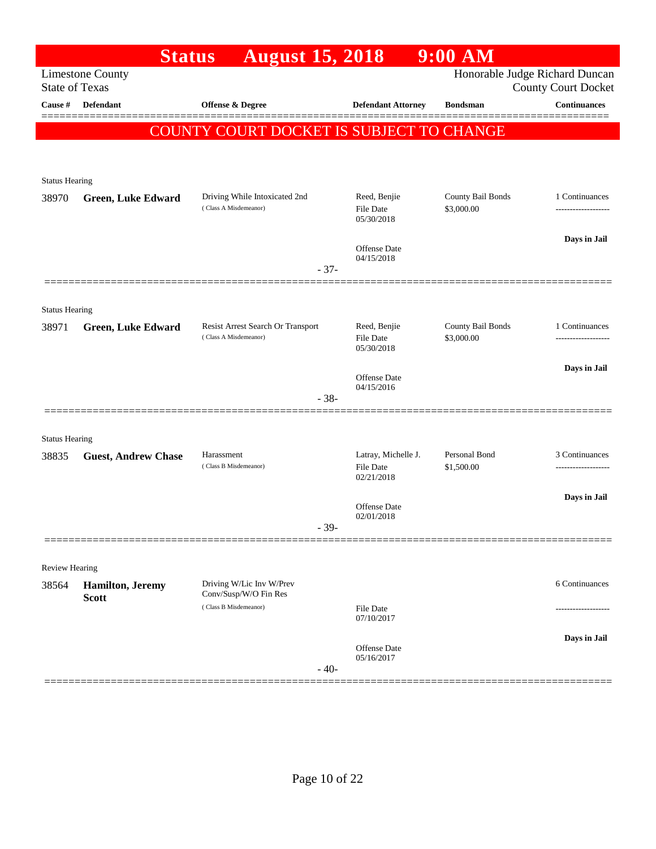|                                  | <b>Status</b>                            | <b>August 15, 2018</b>                                     |                                   | $9:00$ AM                       |                                                   |
|----------------------------------|------------------------------------------|------------------------------------------------------------|-----------------------------------|---------------------------------|---------------------------------------------------|
|                                  | <b>Limestone County</b>                  |                                                            |                                   | Honorable Judge Richard Duncan  |                                                   |
| <b>State of Texas</b><br>Cause # | <b>Defendant</b>                         | <b>Offense &amp; Degree</b>                                | <b>Defendant Attorney</b>         | <b>Bondsman</b>                 | <b>County Court Docket</b><br><b>Continuances</b> |
|                                  |                                          |                                                            |                                   |                                 |                                                   |
|                                  |                                          | COUNTY COURT DOCKET IS SUBJECT TO CHANGE                   |                                   |                                 |                                                   |
|                                  |                                          |                                                            |                                   |                                 |                                                   |
| <b>Status Hearing</b>            |                                          |                                                            |                                   |                                 |                                                   |
| 38970                            | <b>Green, Luke Edward</b>                | Driving While Intoxicated 2nd                              | Reed, Benjie                      | County Bail Bonds               | 1 Continuances                                    |
|                                  |                                          | (Class A Misdemeanor)                                      | <b>File Date</b><br>05/30/2018    | \$3,000.00                      |                                                   |
|                                  |                                          |                                                            |                                   |                                 | Days in Jail                                      |
|                                  |                                          |                                                            | Offense Date<br>04/15/2018        |                                 |                                                   |
|                                  |                                          | $-37-$                                                     |                                   |                                 |                                                   |
|                                  |                                          |                                                            |                                   |                                 |                                                   |
| <b>Status Hearing</b>            |                                          |                                                            |                                   |                                 |                                                   |
| 38971                            | <b>Green, Luke Edward</b>                | Resist Arrest Search Or Transport<br>(Class A Misdemeanor) | Reed, Benjie<br><b>File Date</b>  | County Bail Bonds<br>\$3,000.00 | 1 Continuances                                    |
|                                  |                                          |                                                            | 05/30/2018                        |                                 |                                                   |
|                                  |                                          |                                                            | <b>Offense Date</b>               |                                 | Days in Jail                                      |
|                                  |                                          | $-38-$                                                     | 04/15/2016                        |                                 |                                                   |
|                                  |                                          |                                                            |                                   |                                 |                                                   |
| <b>Status Hearing</b>            |                                          |                                                            |                                   |                                 |                                                   |
| 38835                            | <b>Guest, Andrew Chase</b>               | Harassment                                                 | Latray, Michelle J.               | Personal Bond                   | 3 Continuances                                    |
|                                  |                                          | (Class B Misdemeanor)                                      | <b>File Date</b><br>02/21/2018    | \$1,500.00                      |                                                   |
|                                  |                                          |                                                            |                                   |                                 | Days in Jail                                      |
|                                  |                                          |                                                            | <b>Offense Date</b><br>02/01/2018 |                                 |                                                   |
|                                  |                                          | $-39-$                                                     |                                   |                                 |                                                   |
|                                  |                                          |                                                            |                                   |                                 |                                                   |
| Review Hearing                   |                                          |                                                            |                                   |                                 |                                                   |
| 38564                            | <b>Hamilton</b> , Jeremy<br><b>Scott</b> | Driving W/Lic Inv W/Prev<br>Conv/Susp/W/O Fin Res          |                                   |                                 | 6 Continuances                                    |
|                                  |                                          | (Class B Misdemeanor)                                      | <b>File Date</b><br>07/10/2017    |                                 |                                                   |
|                                  |                                          |                                                            |                                   |                                 | Days in Jail                                      |
|                                  |                                          |                                                            | <b>Offense Date</b><br>05/16/2017 |                                 |                                                   |
|                                  |                                          | $-40-$                                                     |                                   |                                 |                                                   |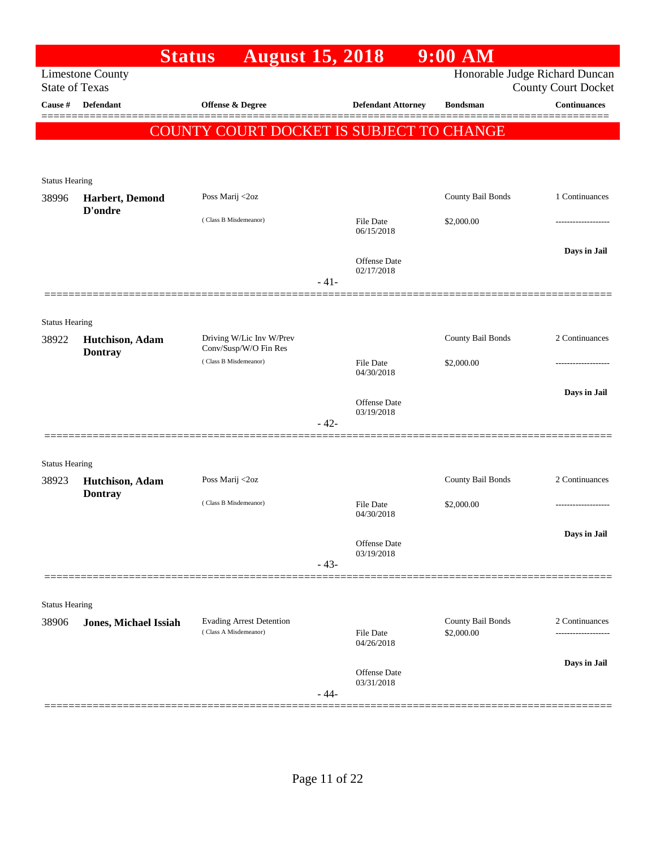|                       |                                                  | <b>August 15, 2018</b><br><b>Status</b>                  |        |                                | $9:00$ AM                      |                                                   |
|-----------------------|--------------------------------------------------|----------------------------------------------------------|--------|--------------------------------|--------------------------------|---------------------------------------------------|
|                       | <b>Limestone County</b><br><b>State of Texas</b> |                                                          |        |                                | Honorable Judge Richard Duncan |                                                   |
| Cause #               | Defendant                                        | Offense & Degree                                         |        | <b>Defendant Attorney</b>      | <b>Bondsman</b>                | <b>County Court Docket</b><br><b>Continuances</b> |
|                       |                                                  |                                                          |        |                                |                                |                                                   |
|                       |                                                  | COUNTY COURT DOCKET IS SUBJECT TO CHANGE                 |        |                                |                                |                                                   |
|                       |                                                  |                                                          |        |                                |                                |                                                   |
| <b>Status Hearing</b> |                                                  |                                                          |        |                                |                                |                                                   |
| 38996                 | Harbert, Demond<br>D'ondre                       | Poss Marij <2oz                                          |        |                                | County Bail Bonds              | 1 Continuances                                    |
|                       |                                                  | (Class B Misdemeanor)                                    |        | <b>File Date</b>               | \$2,000.00                     | -----------------                                 |
|                       |                                                  |                                                          |        | 06/15/2018                     |                                |                                                   |
|                       |                                                  |                                                          |        | Offense Date                   |                                | Days in Jail                                      |
|                       |                                                  |                                                          | $-41-$ | 02/17/2018                     |                                |                                                   |
|                       |                                                  |                                                          |        |                                |                                |                                                   |
| <b>Status Hearing</b> |                                                  |                                                          |        |                                |                                |                                                   |
| 38922                 | Hutchison, Adam                                  | Driving W/Lic Inv W/Prev<br>Conv/Susp/W/O Fin Res        |        |                                | County Bail Bonds              | 2 Continuances                                    |
|                       | <b>Dontray</b>                                   | (Class B Misdemeanor)                                    |        | <b>File Date</b>               | \$2,000.00                     | .                                                 |
|                       |                                                  |                                                          |        | 04/30/2018                     |                                |                                                   |
|                       |                                                  |                                                          |        | Offense Date                   |                                | Days in Jail                                      |
|                       |                                                  |                                                          | $-42-$ | 03/19/2018                     |                                |                                                   |
|                       |                                                  |                                                          |        |                                |                                |                                                   |
| <b>Status Hearing</b> |                                                  |                                                          |        |                                |                                |                                                   |
| 38923                 | Hutchison, Adam                                  | Poss Marij <2oz                                          |        |                                | County Bail Bonds              | 2 Continuances                                    |
|                       | <b>Dontray</b>                                   | (Class B Misdemeanor)                                    |        | <b>File Date</b>               | \$2,000.00                     | -------------------                               |
|                       |                                                  |                                                          |        | 04/30/2018                     |                                |                                                   |
|                       |                                                  |                                                          |        | Offense Date                   |                                | Days in Jail                                      |
|                       |                                                  |                                                          | $-43-$ | 03/19/2018                     |                                |                                                   |
|                       |                                                  |                                                          |        |                                |                                |                                                   |
| <b>Status Hearing</b> |                                                  |                                                          |        |                                |                                |                                                   |
| 38906                 | <b>Jones, Michael Issiah</b>                     | <b>Evading Arrest Detention</b><br>(Class A Misdemeanor) |        |                                | County Bail Bonds              | 2 Continuances                                    |
|                       |                                                  |                                                          |        | <b>File Date</b><br>04/26/2018 | \$2,000.00                     | -----------------                                 |
|                       |                                                  |                                                          |        |                                |                                | Days in Jail                                      |
|                       |                                                  |                                                          |        | Offense Date<br>03/31/2018     |                                |                                                   |
|                       |                                                  |                                                          | $-44-$ |                                |                                |                                                   |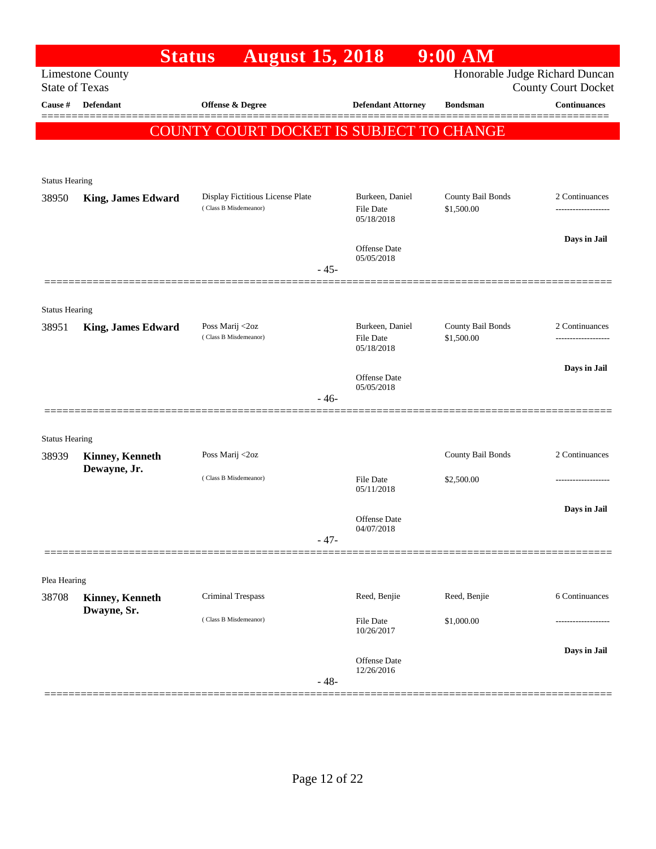|                                | <b>Status</b>             | <b>August 15, 2018</b>                                    |                                                   | $9:00$ AM                       |                                                              |
|--------------------------------|---------------------------|-----------------------------------------------------------|---------------------------------------------------|---------------------------------|--------------------------------------------------------------|
| <b>State of Texas</b>          | <b>Limestone County</b>   |                                                           |                                                   |                                 | Honorable Judge Richard Duncan<br><b>County Court Docket</b> |
| Cause #                        | Defendant                 | Offense & Degree                                          | <b>Defendant Attorney</b>                         | <b>Bondsman</b>                 | <b>Continuances</b>                                          |
|                                |                           | <b>COUNTY COURT DOCKET IS SUBJECT TO CHANGE</b>           |                                                   |                                 |                                                              |
|                                |                           |                                                           |                                                   |                                 |                                                              |
| <b>Status Hearing</b>          |                           |                                                           |                                                   |                                 |                                                              |
| 38950                          | <b>King, James Edward</b> | Display Fictitious License Plate<br>(Class B Misdemeanor) | Burkeen, Daniel<br><b>File Date</b><br>05/18/2018 | County Bail Bonds<br>\$1,500.00 | 2 Continuances                                               |
|                                |                           |                                                           | Offense Date<br>05/05/2018                        |                                 | Days in Jail                                                 |
|                                |                           | $-45-$                                                    |                                                   |                                 |                                                              |
| <b>Status Hearing</b>          |                           |                                                           |                                                   |                                 |                                                              |
| 38951                          | <b>King, James Edward</b> | Poss Marij <2oz<br>(Class B Misdemeanor)                  | Burkeen, Daniel<br><b>File Date</b>               | County Bail Bonds<br>\$1,500.00 | 2 Continuances                                               |
|                                |                           |                                                           | 05/18/2018<br>Offense Date                        |                                 | Days in Jail                                                 |
|                                |                           | $-46-$                                                    | 05/05/2018                                        |                                 |                                                              |
|                                |                           |                                                           |                                                   |                                 |                                                              |
| <b>Status Hearing</b><br>38939 | Kinney, Kenneth           | Poss Marij <2oz                                           |                                                   | County Bail Bonds               | 2 Continuances                                               |
|                                | Dewayne, Jr.              | (Class B Misdemeanor)                                     | File Date                                         | \$2,500.00                      |                                                              |
|                                |                           |                                                           | 05/11/2018                                        |                                 |                                                              |
|                                |                           |                                                           | <b>Offense Date</b>                               |                                 | Days in Jail                                                 |
|                                |                           | $-47-$                                                    | 04/07/2018                                        |                                 |                                                              |
| Plea Hearing                   |                           |                                                           |                                                   |                                 |                                                              |
| 38708                          | Kinney, Kenneth           | <b>Criminal Trespass</b>                                  | Reed, Benjie                                      | Reed, Benjie                    | 6 Continuances                                               |
|                                | Dwayne, Sr.               | (Class B Misdemeanor)                                     | <b>File Date</b><br>10/26/2017                    | \$1,000.00                      |                                                              |
|                                |                           | $-48-$                                                    | Offense Date<br>12/26/2016                        |                                 | Days in Jail                                                 |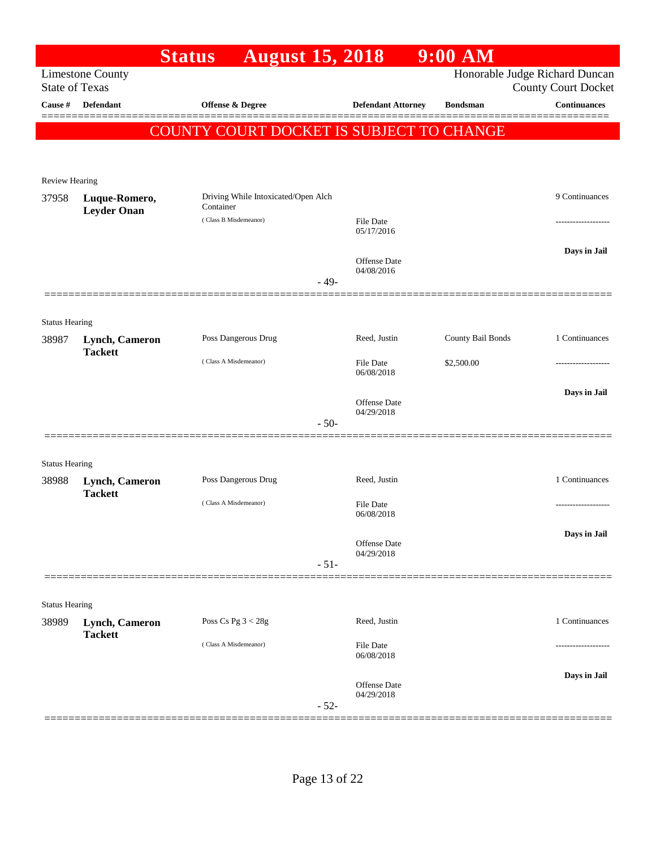|                                |                                     | <b>Status</b>         | <b>August 15, 2018</b>              |        |                                   | $9:00$ AM                                |                                |
|--------------------------------|-------------------------------------|-----------------------|-------------------------------------|--------|-----------------------------------|------------------------------------------|--------------------------------|
|                                | <b>Limestone County</b>             |                       |                                     |        |                                   |                                          | Honorable Judge Richard Duncan |
| <b>State of Texas</b>          | <b>Defendant</b>                    |                       |                                     |        |                                   |                                          | <b>County Court Docket</b>     |
| Cause #                        |                                     | Offense & Degree      |                                     |        | <b>Defendant Attorney</b>         | <b>Bondsman</b>                          | <b>Continuances</b>            |
|                                |                                     |                       |                                     |        |                                   | COUNTY COURT DOCKET IS SUBJECT TO CHANGE |                                |
|                                |                                     |                       |                                     |        |                                   |                                          |                                |
| Review Hearing                 |                                     |                       |                                     |        |                                   |                                          |                                |
| 37958                          | Luque-Romero,<br><b>Leyder Onan</b> | Container             | Driving While Intoxicated/Open Alch |        |                                   |                                          | 9 Continuances                 |
|                                |                                     | (Class B Misdemeanor) |                                     |        | <b>File Date</b><br>05/17/2016    |                                          |                                |
|                                |                                     |                       |                                     |        | <b>Offense</b> Date<br>04/08/2016 |                                          | Days in Jail                   |
|                                |                                     |                       |                                     | $-49-$ |                                   |                                          |                                |
|                                |                                     |                       |                                     |        |                                   |                                          |                                |
| <b>Status Hearing</b>          |                                     |                       |                                     |        |                                   |                                          |                                |
| 38987                          | Lynch, Cameron<br><b>Tackett</b>    |                       | Poss Dangerous Drug                 |        | Reed, Justin                      | County Bail Bonds                        | 1 Continuances                 |
|                                |                                     | (Class A Misdemeanor) |                                     |        | <b>File Date</b><br>06/08/2018    | \$2,500.00                               |                                |
|                                |                                     |                       |                                     |        |                                   |                                          | Days in Jail                   |
|                                |                                     |                       |                                     |        | <b>Offense</b> Date<br>04/29/2018 |                                          |                                |
|                                |                                     |                       |                                     | $-50-$ |                                   |                                          |                                |
|                                |                                     |                       |                                     |        |                                   |                                          |                                |
| <b>Status Hearing</b><br>38988 | Lynch, Cameron                      |                       | Poss Dangerous Drug                 |        | Reed, Justin                      |                                          | 1 Continuances                 |
|                                | <b>Tackett</b>                      |                       |                                     |        |                                   |                                          |                                |
|                                |                                     | (Class A Misdemeanor) |                                     |        | File Date<br>06/08/2018           |                                          |                                |
|                                |                                     |                       |                                     |        | <b>Offense Date</b>               |                                          | Days in Jail                   |
|                                |                                     |                       |                                     |        | 04/29/2018                        |                                          |                                |
|                                |                                     |                       |                                     | $-51-$ |                                   |                                          |                                |
| <b>Status Hearing</b>          |                                     |                       |                                     |        |                                   |                                          |                                |
| 38989                          | Lynch, Cameron<br><b>Tackett</b>    | Poss Cs Pg $3 < 28g$  |                                     |        | Reed, Justin                      |                                          | 1 Continuances                 |
|                                |                                     | (Class A Misdemeanor) |                                     |        | File Date<br>06/08/2018           |                                          |                                |
|                                |                                     |                       |                                     |        | Offense Date                      |                                          | Days in Jail                   |
|                                |                                     |                       |                                     | $-52-$ | 04/29/2018                        |                                          |                                |
|                                |                                     |                       |                                     |        |                                   |                                          |                                |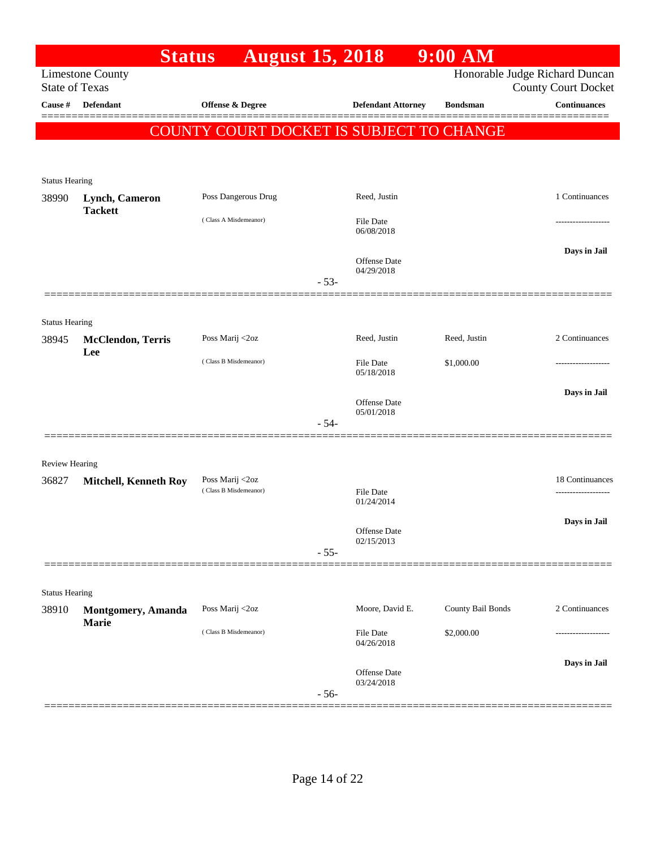|                                | <b>Status</b>                      | <b>August 15, 2018</b>                          |        |                                   | 9:00 AM           |                                            |
|--------------------------------|------------------------------------|-------------------------------------------------|--------|-----------------------------------|-------------------|--------------------------------------------|
| <b>State of Texas</b>          | <b>Limestone County</b>            |                                                 |        |                                   |                   | Honorable Judge Richard Duncan             |
| Cause #                        | <b>Defendant</b>                   | Offense & Degree                                |        | <b>Defendant Attorney</b>         | <b>Bondsman</b>   | <b>County Court Docket</b><br>Continuances |
|                                |                                    |                                                 |        |                                   |                   |                                            |
|                                |                                    | <b>COUNTY COURT DOCKET IS SUBJECT TO CHANGE</b> |        |                                   |                   |                                            |
|                                |                                    |                                                 |        |                                   |                   |                                            |
| <b>Status Hearing</b>          |                                    |                                                 |        |                                   |                   |                                            |
| 38990                          | Lynch, Cameron                     | Poss Dangerous Drug                             |        | Reed, Justin                      |                   | 1 Continuances                             |
|                                | <b>Tackett</b>                     | (Class A Misdemeanor)                           |        | File Date                         |                   |                                            |
|                                |                                    |                                                 |        | 06/08/2018                        |                   |                                            |
|                                |                                    |                                                 |        | <b>Offense Date</b>               |                   | Days in Jail                               |
|                                |                                    |                                                 |        | 04/29/2018                        |                   |                                            |
|                                |                                    |                                                 | $-53-$ |                                   |                   |                                            |
|                                |                                    |                                                 |        |                                   |                   |                                            |
| <b>Status Hearing</b><br>38945 |                                    | Poss Marij <2oz                                 |        | Reed, Justin                      | Reed, Justin      | 2 Continuances                             |
|                                | <b>McClendon</b> , Terris<br>Lee   |                                                 |        |                                   |                   |                                            |
|                                |                                    | (Class B Misdemeanor)                           |        | File Date<br>05/18/2018           | \$1,000.00        |                                            |
|                                |                                    |                                                 |        |                                   |                   | Days in Jail                               |
|                                |                                    |                                                 |        | <b>Offense Date</b><br>05/01/2018 |                   |                                            |
|                                |                                    |                                                 | $-54-$ |                                   |                   |                                            |
|                                |                                    |                                                 |        |                                   |                   |                                            |
| Review Hearing                 |                                    |                                                 |        |                                   |                   |                                            |
| 36827                          | <b>Mitchell, Kenneth Roy</b>       | Poss Marij <2oz<br>(Class B Misdemeanor)        |        | <b>File Date</b>                  |                   | 18 Continuances<br>-----------------       |
|                                |                                    |                                                 |        | 01/24/2014                        |                   |                                            |
|                                |                                    |                                                 |        | Offense Date                      |                   | Days in Jail                               |
|                                |                                    |                                                 | $-55-$ | 02/15/2013                        |                   |                                            |
|                                |                                    |                                                 |        |                                   |                   |                                            |
|                                |                                    |                                                 |        |                                   |                   |                                            |
| <b>Status Hearing</b><br>38910 |                                    | Poss Marij <2oz                                 |        | Moore, David E.                   | County Bail Bonds | 2 Continuances                             |
|                                | Montgomery, Amanda<br><b>Marie</b> |                                                 |        |                                   |                   |                                            |
|                                |                                    | (Class B Misdemeanor)                           |        | <b>File Date</b><br>04/26/2018    | \$2,000.00        | .                                          |
|                                |                                    |                                                 |        |                                   |                   | Days in Jail                               |
|                                |                                    |                                                 |        | <b>Offense Date</b><br>03/24/2018 |                   |                                            |
|                                |                                    |                                                 | $-56-$ |                                   |                   |                                            |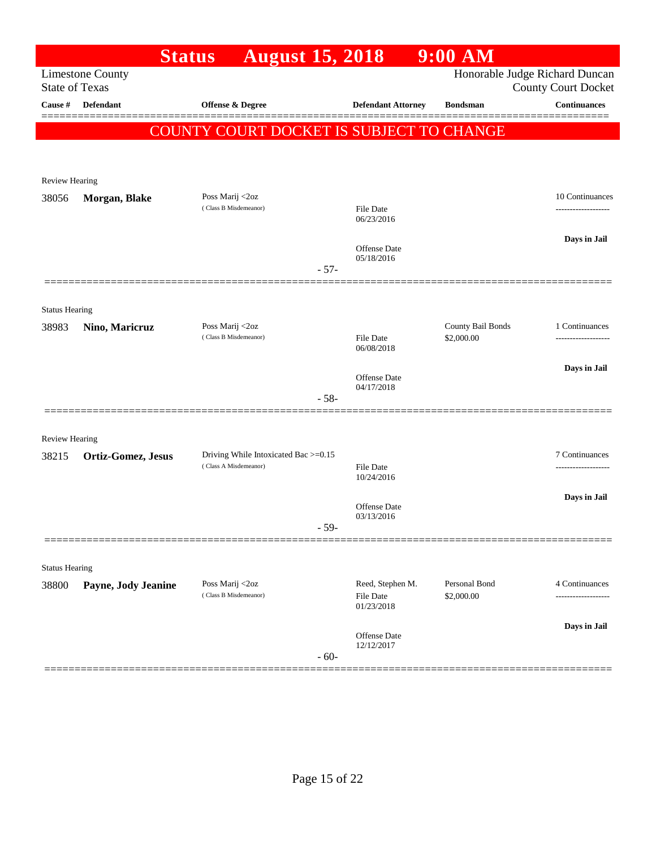|                         |                         | <b>Status</b>                            | <b>August 15, 2018</b>               |        |                                             | $9:00$ AM                                |                                                              |
|-------------------------|-------------------------|------------------------------------------|--------------------------------------|--------|---------------------------------------------|------------------------------------------|--------------------------------------------------------------|
| <b>State of Texas</b>   | <b>Limestone County</b> |                                          |                                      |        |                                             |                                          | Honorable Judge Richard Duncan<br><b>County Court Docket</b> |
| Cause $\#$              | <b>Defendant</b>        | Offense & Degree                         |                                      |        | <b>Defendant Attorney</b>                   | <b>Bondsman</b>                          | <b>Continuances</b>                                          |
|                         |                         |                                          |                                      |        |                                             | COUNTY COURT DOCKET IS SUBJECT TO CHANGE |                                                              |
|                         |                         |                                          |                                      |        |                                             |                                          |                                                              |
|                         |                         |                                          |                                      |        |                                             |                                          |                                                              |
| Review Hearing<br>38056 | Morgan, Blake           | Poss Marij <2oz                          |                                      |        |                                             |                                          | 10 Continuances                                              |
|                         |                         | (Class B Misdemeanor)                    |                                      |        | File Date<br>06/23/2016                     |                                          |                                                              |
|                         |                         |                                          |                                      |        | <b>Offense</b> Date                         |                                          | Days in Jail                                                 |
|                         |                         |                                          |                                      | $-57-$ | 05/18/2016                                  |                                          |                                                              |
|                         |                         |                                          |                                      |        |                                             |                                          |                                                              |
| <b>Status Hearing</b>   |                         |                                          |                                      |        |                                             |                                          |                                                              |
| 38983                   | Nino, Maricruz          | Poss Marij <2oz<br>(Class B Misdemeanor) |                                      |        | <b>File Date</b>                            | County Bail Bonds<br>\$2,000.00          | 1 Continuances                                               |
|                         |                         |                                          |                                      |        | 06/08/2018                                  |                                          | -------------------                                          |
|                         |                         |                                          |                                      |        | <b>Offense</b> Date                         |                                          | Days in Jail                                                 |
|                         |                         |                                          |                                      | $-58-$ | 04/17/2018                                  |                                          |                                                              |
| <b>Review Hearing</b>   |                         |                                          |                                      |        |                                             |                                          |                                                              |
| 38215                   | Ortiz-Gomez, Jesus      |                                          | Driving While Intoxicated Bac >=0.15 |        |                                             |                                          | 7 Continuances                                               |
|                         |                         | (Class A Misdemeanor)                    |                                      |        | <b>File Date</b><br>10/24/2016              |                                          |                                                              |
|                         |                         |                                          |                                      |        |                                             |                                          | Days in Jail                                                 |
|                         |                         |                                          |                                      | $-59-$ | Offense Date<br>03/13/2016                  |                                          |                                                              |
|                         |                         |                                          |                                      |        |                                             |                                          |                                                              |
| <b>Status Hearing</b>   |                         |                                          |                                      |        |                                             |                                          |                                                              |
| 38800                   | Payne, Jody Jeanine     | Poss Marij <2oz<br>(Class B Misdemeanor) |                                      |        | Reed, Stephen M.<br>File Date<br>01/23/2018 | Personal Bond<br>\$2,000.00              | 4 Continuances                                               |
|                         |                         |                                          |                                      |        |                                             |                                          | Days in Jail                                                 |
|                         |                         |                                          |                                      | $-60-$ | Offense Date<br>12/12/2017                  |                                          |                                                              |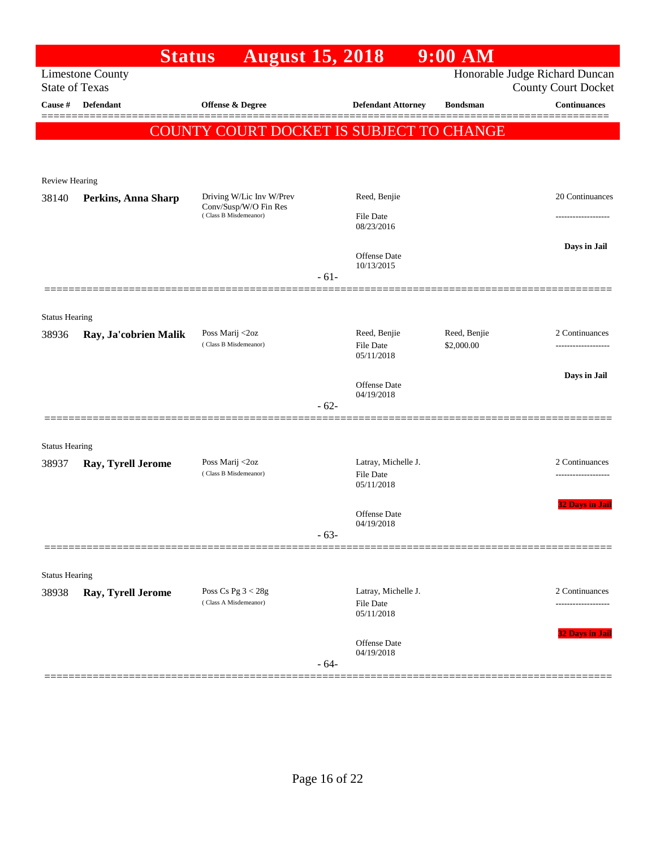|                       | <b>Status</b>             | <b>August 15, 2018</b>                            |        |                                  | $9:00$ AM                  |                                                              |
|-----------------------|---------------------------|---------------------------------------------------|--------|----------------------------------|----------------------------|--------------------------------------------------------------|
| <b>State of Texas</b> | <b>Limestone County</b>   |                                                   |        |                                  |                            | Honorable Judge Richard Duncan<br><b>County Court Docket</b> |
| Cause #               | <b>Defendant</b>          | Offense & Degree                                  |        | <b>Defendant Attorney</b>        | <b>Bondsman</b>            | <b>Continuances</b>                                          |
|                       |                           |                                                   |        |                                  |                            |                                                              |
|                       |                           | COUNTY COURT DOCKET IS SUBJECT TO CHANGE          |        |                                  |                            |                                                              |
|                       |                           |                                                   |        |                                  |                            |                                                              |
| Review Hearing        |                           |                                                   |        |                                  |                            |                                                              |
| 38140                 | Perkins, Anna Sharp       | Driving W/Lic Inv W/Prev<br>Conv/Susp/W/O Fin Res |        | Reed, Benjie                     |                            | 20 Continuances                                              |
|                       |                           | (Class B Misdemeanor)                             |        | <b>File Date</b><br>08/23/2016   |                            |                                                              |
|                       |                           |                                                   |        |                                  |                            | Days in Jail                                                 |
|                       |                           |                                                   |        | Offense Date<br>10/13/2015       |                            |                                                              |
|                       |                           |                                                   | $-61-$ |                                  |                            |                                                              |
|                       |                           |                                                   |        |                                  |                            |                                                              |
| <b>Status Hearing</b> |                           |                                                   |        |                                  |                            |                                                              |
| 38936                 | Ray, Ja'cobrien Malik     | Poss Marij <2oz<br>(Class B Misdemeanor)          |        | Reed, Benjie<br><b>File Date</b> | Reed, Benjie<br>\$2,000.00 | 2 Continuances<br>-------------------                        |
|                       |                           |                                                   |        | 05/11/2018                       |                            |                                                              |
|                       |                           |                                                   |        | Offense Date                     |                            | Days in Jail                                                 |
|                       |                           |                                                   | $-62-$ | 04/19/2018                       |                            |                                                              |
|                       |                           |                                                   |        |                                  |                            |                                                              |
| <b>Status Hearing</b> |                           |                                                   |        |                                  |                            |                                                              |
| 38937                 | <b>Ray, Tyrell Jerome</b> | Poss Marij <2oz<br>(Class B Misdemeanor)          |        | Latray, Michelle J.              |                            | 2 Continuances                                               |
|                       |                           |                                                   |        | <b>File Date</b><br>05/11/2018   |                            |                                                              |
|                       |                           |                                                   |        | Offense Date                     |                            | <b>32 Days in Jail</b>                                       |
|                       |                           |                                                   | $-63-$ | 04/19/2018                       |                            |                                                              |
|                       |                           |                                                   |        |                                  |                            |                                                              |
| <b>Status Hearing</b> |                           |                                                   |        |                                  |                            |                                                              |
| 38938                 | Ray, Tyrell Jerome        | Poss Cs Pg $3 < 28g$                              |        | Latray, Michelle J.              |                            | 2 Continuances                                               |
|                       |                           | (Class A Misdemeanor)                             |        | <b>File Date</b><br>05/11/2018   |                            | -----------------                                            |
|                       |                           |                                                   |        |                                  |                            | 32 Days in Jail                                              |
|                       |                           |                                                   |        | Offense Date<br>04/19/2018       |                            |                                                              |
|                       |                           |                                                   | $-64-$ |                                  |                            |                                                              |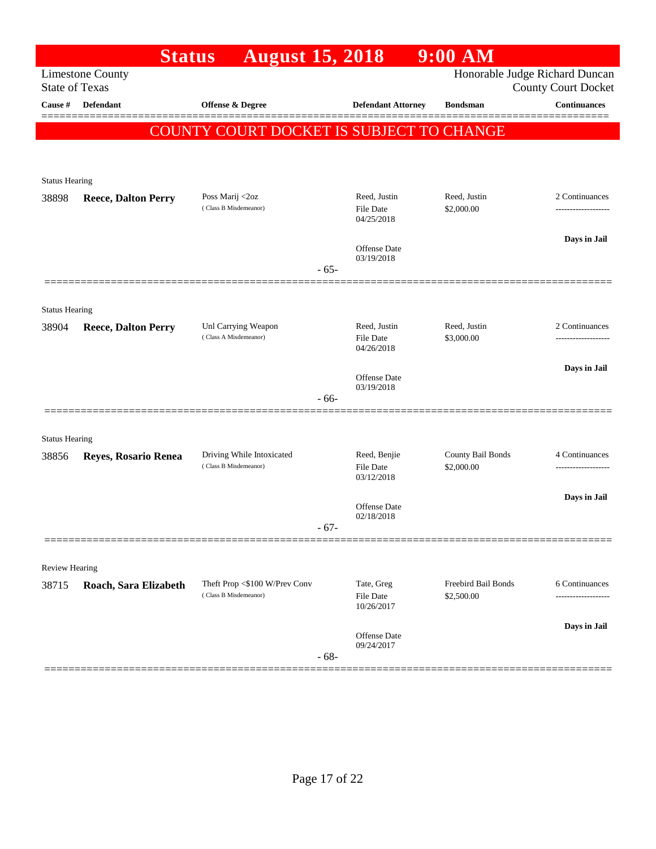|                                | <b>Status</b>              | <b>August 15, 2018</b>                       |                                         | $9:00$ AM                  |                                                              |
|--------------------------------|----------------------------|----------------------------------------------|-----------------------------------------|----------------------------|--------------------------------------------------------------|
| <b>State of Texas</b>          | <b>Limestone County</b>    |                                              |                                         |                            | Honorable Judge Richard Duncan<br><b>County Court Docket</b> |
| Cause #                        | <b>Defendant</b>           | Offense & Degree                             | <b>Defendant Attorney</b>               | <b>Bondsman</b>            | <b>Continuances</b>                                          |
|                                |                            | COUNTY COURT DOCKET IS SUBJECT TO CHANGE     |                                         |                            |                                                              |
|                                |                            |                                              |                                         |                            |                                                              |
| <b>Status Hearing</b>          |                            |                                              |                                         |                            |                                                              |
| 38898                          | <b>Reece, Dalton Perry</b> | Poss Marij <2oz<br>(Class B Misdemeanor)     | Reed, Justin<br>File Date<br>04/25/2018 | Reed, Justin<br>\$2,000.00 | 2 Continuances                                               |
|                                |                            |                                              | <b>Offense Date</b><br>03/19/2018       |                            | Days in Jail                                                 |
|                                |                            |                                              | $-65-$                                  |                            |                                                              |
| <b>Status Hearing</b>          |                            |                                              |                                         |                            |                                                              |
| 38904                          | <b>Reece, Dalton Perry</b> | Unl Carrying Weapon<br>(Class A Misdemeanor) | Reed, Justin                            | Reed, Justin               | 2 Continuances                                               |
|                                |                            |                                              | File Date<br>04/26/2018                 | \$3,000.00                 |                                                              |
|                                |                            |                                              | Offense Date                            |                            | Days in Jail                                                 |
|                                |                            |                                              | 03/19/2018<br>- 66-                     |                            |                                                              |
|                                |                            |                                              |                                         |                            |                                                              |
| <b>Status Hearing</b><br>38856 | Reyes, Rosario Renea       | Driving While Intoxicated                    | Reed, Benjie                            | County Bail Bonds          | 4 Continuances                                               |
|                                |                            | (Class B Misdemeanor)                        | <b>File Date</b><br>03/12/2018          | \$2,000.00                 |                                                              |
|                                |                            |                                              | <b>Offense Date</b>                     |                            | Days in Jail                                                 |
|                                |                            |                                              | 02/18/2018<br>$-67-$                    |                            |                                                              |
|                                |                            |                                              |                                         |                            |                                                              |
| Review Hearing                 |                            | Theft Prop <\$100 W/Prev Conv                | Tate, Greg                              | <b>Freebird Bail Bonds</b> | 6 Continuances                                               |
| 38715                          | Roach, Sara Elizabeth      | (Class B Misdemeanor)                        | File Date<br>10/26/2017                 | \$2,500.00                 | ---------                                                    |
|                                |                            |                                              | Offense Date                            |                            | Days in Jail                                                 |
|                                |                            |                                              | 09/24/2017<br>$-68-$                    |                            |                                                              |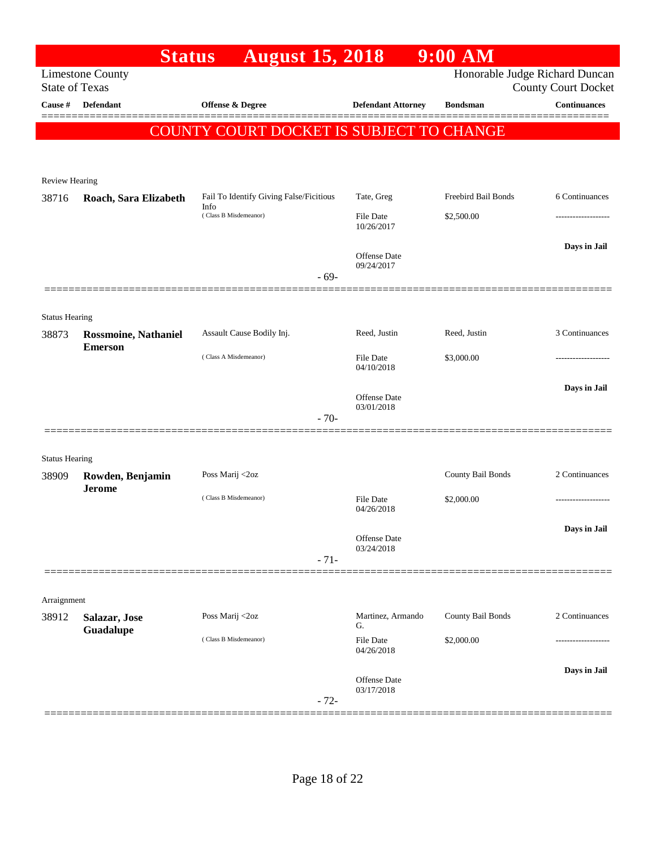|                       |                                                  | <b>Status</b><br><b>August 15, 2018</b>         |                                   | 9:00 AM                        |                            |
|-----------------------|--------------------------------------------------|-------------------------------------------------|-----------------------------------|--------------------------------|----------------------------|
|                       | <b>Limestone County</b><br><b>State of Texas</b> |                                                 |                                   | Honorable Judge Richard Duncan | <b>County Court Docket</b> |
| Cause #               | <b>Defendant</b>                                 | Offense & Degree                                | <b>Defendant Attorney</b>         | <b>Bondsman</b>                | <b>Continuances</b>        |
|                       |                                                  | COUNTY COURT DOCKET IS SUBJECT TO CHANGE        |                                   |                                |                            |
|                       |                                                  |                                                 |                                   |                                |                            |
|                       |                                                  |                                                 |                                   |                                |                            |
| Review Hearing        |                                                  |                                                 |                                   |                                |                            |
| 38716                 | Roach, Sara Elizabeth                            | Fail To Identify Giving False/Ficitious<br>Info | Tate, Greg                        | Freebird Bail Bonds            | 6 Continuances             |
|                       |                                                  | (Class B Misdemeanor)                           | <b>File Date</b><br>10/26/2017    | \$2,500.00                     |                            |
|                       |                                                  |                                                 | <b>Offense Date</b>               |                                | Days in Jail               |
|                       |                                                  | $-69-$                                          | 09/24/2017                        |                                |                            |
|                       |                                                  |                                                 |                                   |                                |                            |
| <b>Status Hearing</b> |                                                  |                                                 |                                   |                                |                            |
| 38873                 | <b>Rossmoine, Nathaniel</b>                      | Assault Cause Bodily Inj.                       | Reed, Justin                      | Reed, Justin                   | 3 Continuances             |
|                       | <b>Emerson</b>                                   | (Class A Misdemeanor)                           | <b>File Date</b><br>04/10/2018    | \$3,000.00                     |                            |
|                       |                                                  |                                                 |                                   |                                | Days in Jail               |
|                       |                                                  |                                                 | <b>Offense Date</b><br>03/01/2018 |                                |                            |
|                       |                                                  | $-70-$                                          |                                   |                                |                            |
| <b>Status Hearing</b> |                                                  |                                                 |                                   |                                |                            |
| 38909                 | Rowden, Benjamin                                 | Poss Marij <2oz                                 |                                   | County Bail Bonds              | 2 Continuances             |
|                       | <b>Jerome</b>                                    | (Class B Misdemeanor)                           | <b>File Date</b><br>04/26/2018    | \$2,000.00                     |                            |
|                       |                                                  |                                                 |                                   |                                | Days in Jail               |
|                       |                                                  |                                                 | Offense Date<br>03/24/2018        |                                |                            |
|                       |                                                  | $-71-$                                          |                                   |                                |                            |
|                       |                                                  |                                                 |                                   |                                |                            |
| Arraignment           |                                                  |                                                 |                                   |                                |                            |
| 38912                 | Salazar, Jose<br>Guadalupe                       | Poss Marij <2oz                                 | Martinez, Armando<br>G.           | County Bail Bonds              | 2 Continuances             |
|                       |                                                  | (Class B Misdemeanor)                           | <b>File Date</b><br>04/26/2018    | \$2,000.00                     |                            |
|                       |                                                  |                                                 |                                   |                                | Days in Jail               |
|                       |                                                  |                                                 | Offense Date<br>03/17/2018        |                                |                            |
|                       |                                                  | $-72-$                                          |                                   |                                |                            |
|                       |                                                  |                                                 |                                   |                                |                            |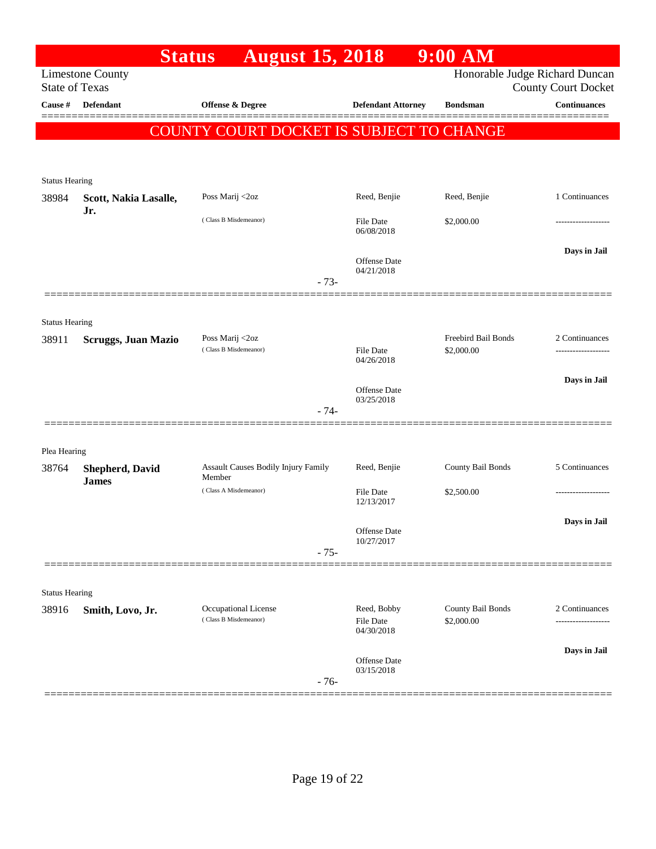|                                  | <b>Status</b>                          | <b>August 15, 2018</b>                        |                                   | $9:00$ AM           |                                                   |
|----------------------------------|----------------------------------------|-----------------------------------------------|-----------------------------------|---------------------|---------------------------------------------------|
|                                  | <b>Limestone County</b>                |                                               |                                   |                     | Honorable Judge Richard Duncan                    |
| <b>State of Texas</b><br>Cause # | <b>Defendant</b>                       | Offense & Degree                              | <b>Defendant Attorney</b>         | <b>Bondsman</b>     | <b>County Court Docket</b><br><b>Continuances</b> |
|                                  |                                        |                                               |                                   |                     |                                                   |
|                                  |                                        | COUNTY COURT DOCKET IS SUBJECT TO CHANGE      |                                   |                     |                                                   |
|                                  |                                        |                                               |                                   |                     |                                                   |
| <b>Status Hearing</b>            |                                        |                                               |                                   |                     |                                                   |
| 38984                            | Scott, Nakia Lasalle,                  | Poss Marij <2oz                               | Reed, Benjie                      | Reed, Benjie        | 1 Continuances                                    |
|                                  | Jr.                                    | (Class B Misdemeanor)                         | <b>File Date</b>                  | \$2,000.00          |                                                   |
|                                  |                                        |                                               | 06/08/2018                        |                     |                                                   |
|                                  |                                        |                                               | Offense Date                      |                     | Days in Jail                                      |
|                                  |                                        | $-73-$                                        | 04/21/2018                        |                     |                                                   |
|                                  |                                        |                                               |                                   |                     |                                                   |
| <b>Status Hearing</b>            |                                        |                                               |                                   |                     |                                                   |
| 38911                            | <b>Scruggs, Juan Mazio</b>             | Poss Marij <2oz                               |                                   | Freebird Bail Bonds | 2 Continuances                                    |
|                                  |                                        | (Class B Misdemeanor)                         | File Date<br>04/26/2018           | \$2,000.00          |                                                   |
|                                  |                                        |                                               |                                   |                     | Days in Jail                                      |
|                                  |                                        |                                               | <b>Offense Date</b><br>03/25/2018 |                     |                                                   |
|                                  |                                        | $-74-$                                        |                                   |                     |                                                   |
|                                  |                                        |                                               |                                   |                     |                                                   |
| Plea Hearing                     |                                        |                                               |                                   |                     |                                                   |
| 38764                            | <b>Shepherd, David</b><br><b>James</b> | Assault Causes Bodily Injury Family<br>Member | Reed, Benjie                      | County Bail Bonds   | 5 Continuances                                    |
|                                  |                                        | (Class A Misdemeanor)                         | File Date<br>12/13/2017           | \$2,500.00          |                                                   |
|                                  |                                        |                                               |                                   |                     | Days in Jail                                      |
|                                  |                                        |                                               | Offense Date<br>10/27/2017        |                     |                                                   |
|                                  |                                        | $-75-$                                        |                                   |                     |                                                   |
|                                  |                                        |                                               |                                   |                     |                                                   |
| <b>Status Hearing</b>            |                                        |                                               |                                   |                     |                                                   |
| 38916                            | Smith, Lovo, Jr.                       | Occupational License<br>(Class B Misdemeanor) | Reed, Bobby                       | County Bail Bonds   | 2 Continuances                                    |
|                                  |                                        |                                               | <b>File Date</b><br>04/30/2018    | \$2,000.00          |                                                   |
|                                  |                                        |                                               |                                   |                     | Days in Jail                                      |
|                                  |                                        |                                               | <b>Offense Date</b><br>03/15/2018 |                     |                                                   |
|                                  |                                        | $-76-$                                        |                                   |                     |                                                   |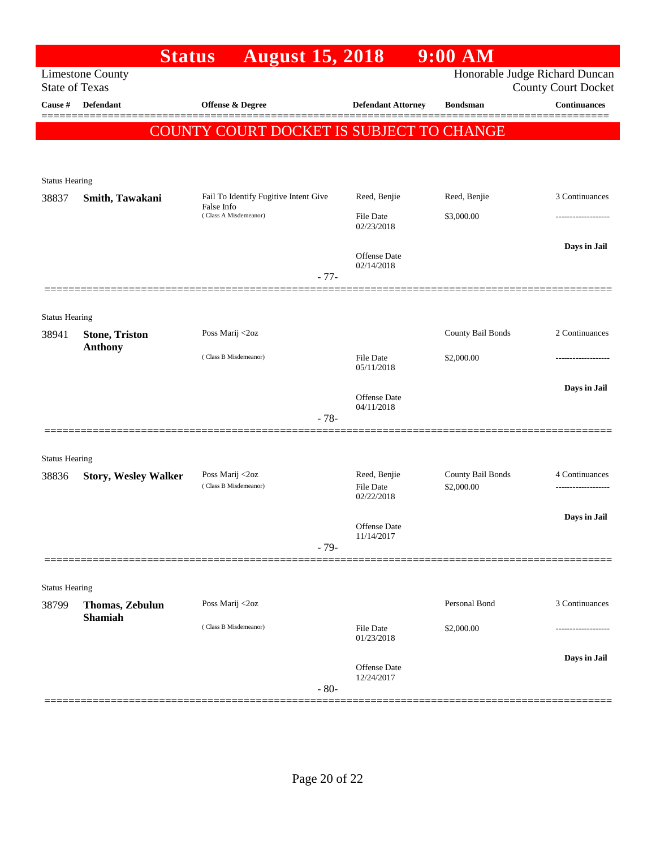|                                | <b>Status</b>               | <b>August 15, 2018</b>                   |                                   | $9:00$ AM                       |                                                              |
|--------------------------------|-----------------------------|------------------------------------------|-----------------------------------|---------------------------------|--------------------------------------------------------------|
| <b>State of Texas</b>          | <b>Limestone County</b>     |                                          |                                   |                                 | Honorable Judge Richard Duncan<br><b>County Court Docket</b> |
| Cause #                        | <b>Defendant</b>            | <b>Offense &amp; Degree</b>              | <b>Defendant Attorney</b>         | <b>Bondsman</b>                 | Continuances                                                 |
|                                |                             | COUNTY COURT DOCKET IS SUBJECT TO CHANGE |                                   |                                 |                                                              |
|                                |                             |                                          |                                   |                                 |                                                              |
|                                |                             |                                          |                                   |                                 |                                                              |
| <b>Status Hearing</b>          |                             | Fail To Identify Fugitive Intent Give    | Reed, Benjie                      | Reed, Benjie                    | 3 Continuances                                               |
| 38837                          | Smith, Tawakani             | False Info<br>(Class A Misdemeanor)      | File Date                         | \$3,000.00                      |                                                              |
|                                |                             |                                          | 02/23/2018                        |                                 |                                                              |
|                                |                             |                                          | <b>Offense</b> Date               |                                 | Days in Jail                                                 |
|                                |                             |                                          | 02/14/2018                        |                                 |                                                              |
|                                |                             | $-77-$                                   |                                   |                                 |                                                              |
|                                |                             |                                          |                                   |                                 |                                                              |
| <b>Status Hearing</b><br>38941 | <b>Stone, Triston</b>       | Poss Marij <2oz                          |                                   | County Bail Bonds               | 2 Continuances                                               |
|                                | <b>Anthony</b>              |                                          |                                   |                                 |                                                              |
|                                |                             | (Class B Misdemeanor)                    | File Date<br>05/11/2018           | \$2,000.00                      | ---------------                                              |
|                                |                             |                                          |                                   |                                 | Days in Jail                                                 |
|                                |                             |                                          | <b>Offense Date</b><br>04/11/2018 |                                 |                                                              |
|                                |                             | $-78-$                                   |                                   |                                 |                                                              |
|                                |                             |                                          |                                   |                                 |                                                              |
| <b>Status Hearing</b>          |                             |                                          |                                   |                                 |                                                              |
| 38836                          | <b>Story, Wesley Walker</b> | Poss Marij <2oz<br>(Class B Misdemeanor) | Reed, Benjie<br><b>File Date</b>  | County Bail Bonds<br>\$2,000.00 | 4 Continuances                                               |
|                                |                             |                                          | 02/22/2018                        |                                 |                                                              |
|                                |                             |                                          | Offense Date                      |                                 | Days in Jail                                                 |
|                                |                             | $-79-$                                   | 11/14/2017                        |                                 |                                                              |
|                                |                             |                                          |                                   |                                 |                                                              |
| <b>Status Hearing</b>          |                             |                                          |                                   |                                 |                                                              |
| 38799                          | Thomas, Zebulun             | Poss Marij <2oz                          |                                   | Personal Bond                   | 3 Continuances                                               |
|                                | <b>Shamiah</b>              | (Class B Misdemeanor)                    | <b>File Date</b><br>01/23/2018    | \$2,000.00                      |                                                              |
|                                |                             |                                          |                                   |                                 | Days in Jail                                                 |
|                                |                             | $-80-$                                   | Offense Date<br>12/24/2017        |                                 |                                                              |
|                                |                             |                                          |                                   |                                 |                                                              |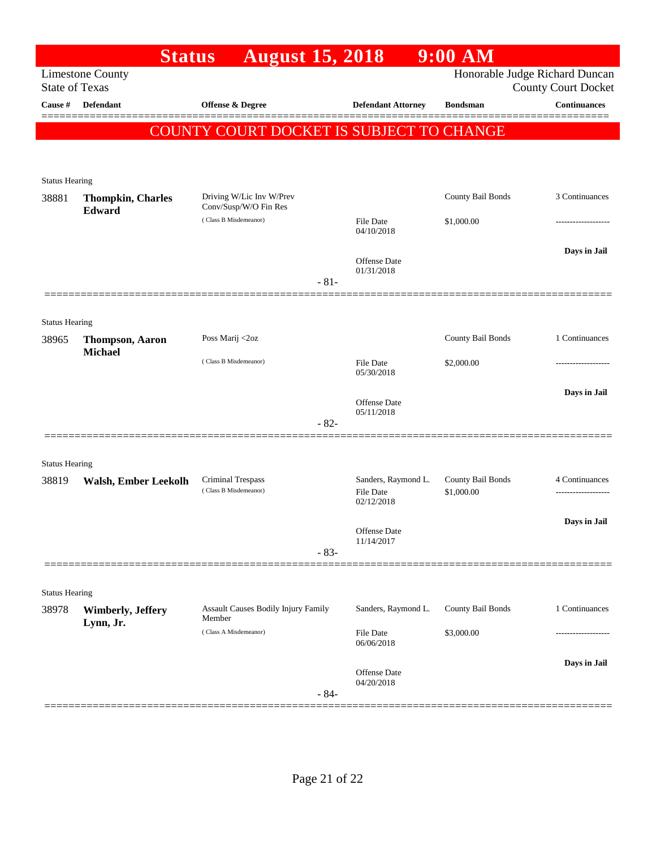|                                | <b>Status</b>                                    | <b>August 15, 2018</b>                            |        |                                   | $9:00$ AM         |                                                   |
|--------------------------------|--------------------------------------------------|---------------------------------------------------|--------|-----------------------------------|-------------------|---------------------------------------------------|
|                                | <b>Limestone County</b><br><b>State of Texas</b> |                                                   |        |                                   |                   | Honorable Judge Richard Duncan                    |
| Cause #                        | <b>Defendant</b>                                 | Offense & Degree                                  |        | <b>Defendant Attorney</b>         | <b>Bondsman</b>   | <b>County Court Docket</b><br><b>Continuances</b> |
|                                |                                                  |                                                   |        |                                   |                   |                                                   |
|                                |                                                  | COUNTY COURT DOCKET IS SUBJECT TO CHANGE          |        |                                   |                   |                                                   |
|                                |                                                  |                                                   |        |                                   |                   |                                                   |
| <b>Status Hearing</b>          |                                                  |                                                   |        |                                   |                   |                                                   |
| 38881                          | <b>Thompkin, Charles</b><br>Edward               | Driving W/Lic Inv W/Prev<br>Conv/Susp/W/O Fin Res |        |                                   | County Bail Bonds | 3 Continuances                                    |
|                                |                                                  | (Class B Misdemeanor)                             |        | File Date<br>04/10/2018           | \$1,000.00        |                                                   |
|                                |                                                  |                                                   |        |                                   |                   | Days in Jail                                      |
|                                |                                                  |                                                   |        | Offense Date<br>01/31/2018        |                   |                                                   |
|                                |                                                  |                                                   | $-81-$ |                                   |                   |                                                   |
|                                |                                                  |                                                   |        |                                   |                   |                                                   |
| <b>Status Hearing</b>          |                                                  |                                                   |        |                                   |                   |                                                   |
| 38965                          | <b>Thompson, Aaron</b><br><b>Michael</b>         | Poss Marij <2oz                                   |        |                                   | County Bail Bonds | 1 Continuances                                    |
|                                |                                                  | (Class B Misdemeanor)                             |        | File Date<br>05/30/2018           | \$2,000.00        |                                                   |
|                                |                                                  |                                                   |        |                                   |                   | Days in Jail                                      |
|                                |                                                  |                                                   |        | Offense Date<br>05/11/2018        |                   |                                                   |
|                                |                                                  |                                                   | $-82-$ |                                   |                   |                                                   |
|                                |                                                  |                                                   |        |                                   |                   |                                                   |
| <b>Status Hearing</b><br>38819 |                                                  | Criminal Trespass                                 |        | Sanders, Raymond L.               | County Bail Bonds | 4 Continuances                                    |
|                                | Walsh, Ember Leekolh                             | (Class B Misdemeanor)                             |        | <b>File Date</b><br>02/12/2018    | \$1,000.00        |                                                   |
|                                |                                                  |                                                   |        |                                   |                   | Days in Jail                                      |
|                                |                                                  |                                                   |        | Offense Date<br>11/14/2017        |                   |                                                   |
|                                |                                                  |                                                   | $-83-$ |                                   |                   |                                                   |
|                                |                                                  |                                                   |        |                                   |                   |                                                   |
| <b>Status Hearing</b>          |                                                  |                                                   |        |                                   |                   |                                                   |
| 38978                          | <b>Wimberly, Jeffery</b><br>Lynn, Jr.            | Assault Causes Bodily Injury Family<br>Member     |        | Sanders, Raymond L.               | County Bail Bonds | 1 Continuances                                    |
|                                |                                                  | (Class A Misdemeanor)                             |        | <b>File Date</b><br>06/06/2018    | \$3,000.00        |                                                   |
|                                |                                                  |                                                   |        |                                   |                   | Days in Jail                                      |
|                                |                                                  |                                                   |        | <b>Offense</b> Date<br>04/20/2018 |                   |                                                   |
|                                |                                                  |                                                   | $-84-$ |                                   |                   |                                                   |